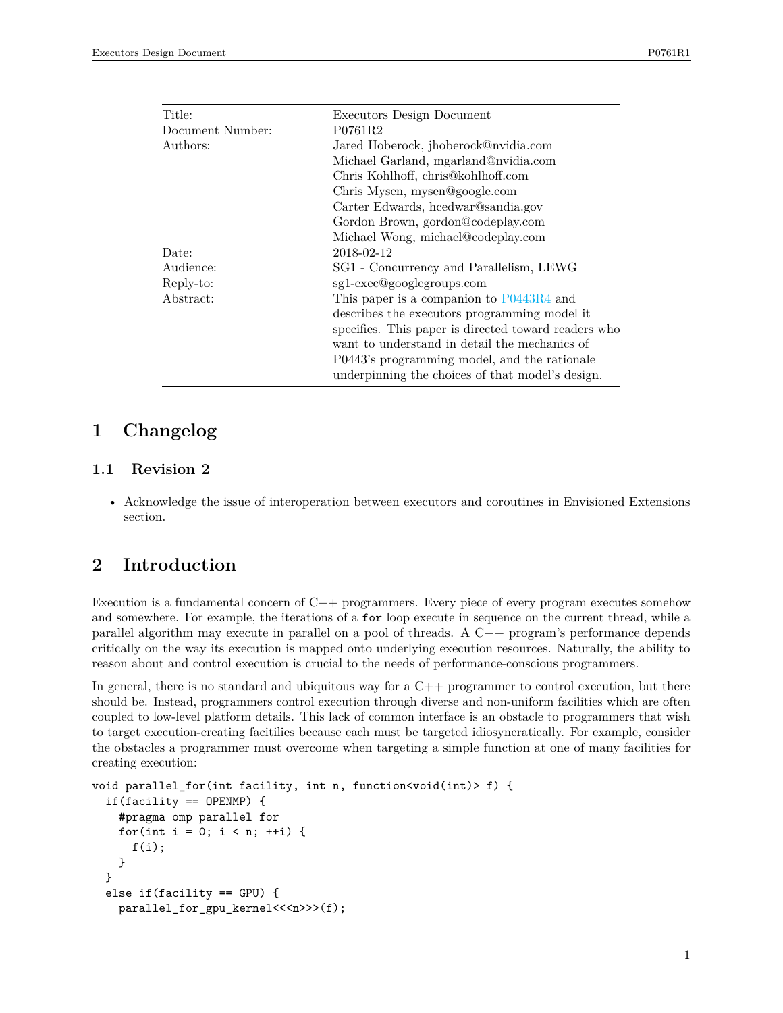| Executors Design Document                            |
|------------------------------------------------------|
| P0761R2                                              |
| Jared Hoberock, jhoberock@nvidia.com                 |
| Michael Garland, mgarland@nvidia.com                 |
| Chris Kohlhoff, chris@kohlhoff.com                   |
| Chris Mysen, mysen@google.com                        |
| Carter Edwards, heedwar@sandia.gov                   |
| Gordon Brown, gordon@codeplay.com                    |
| Michael Wong, michael@codeplay.com                   |
| 2018-02-12                                           |
| SG1 - Concurrency and Parallelism, LEWG              |
| sg1-exec@googlegroups.com                            |
| This paper is a companion to $P0443R4$ and           |
| describes the executors programming model it         |
| specifies. This paper is directed toward readers who |
| want to understand in detail the mechanics of        |
| P0443's programming model, and the rationale         |
| underpinning the choices of that model's design.     |
|                                                      |

# **1 Changelog**

### **1.1 Revision 2**

• Acknowledge the issue of interoperation between executors and coroutines in Envisioned Extensions section.

## **2 Introduction**

Execution is a fundamental concern of C++ programmers. Every piece of every program executes somehow and somewhere. For example, the iterations of a for loop execute in sequence on the current thread, while a parallel algorithm may execute in parallel on a pool of threads. A C++ program's performance depends critically on the way its execution is mapped onto underlying execution resources. Naturally, the ability to reason about and control execution is crucial to the needs of performance-conscious programmers.

In general, there is no standard and ubiquitous way for a  $C++$  programmer to control execution, but there should be. Instead, programmers control execution through diverse and non-uniform facilities which are often coupled to low-level platform details. This lack of common interface is an obstacle to programmers that wish to target execution-creating facitilies because each must be targeted idiosyncratically. For example, consider the obstacles a programmer must overcome when targeting a simple function at one of many facilities for creating execution:

```
void parallel_for(int facility, int n, function<void(int)> f) {
  if(facility == OPENMP) {
   #pragma omp parallel for
   for(int i = 0; i < n; ++i) {
      f(i);
   }
  }
  else if(facility == GPU) {
   parallel_for_gpu_kernel<<<n>>>>(f);
```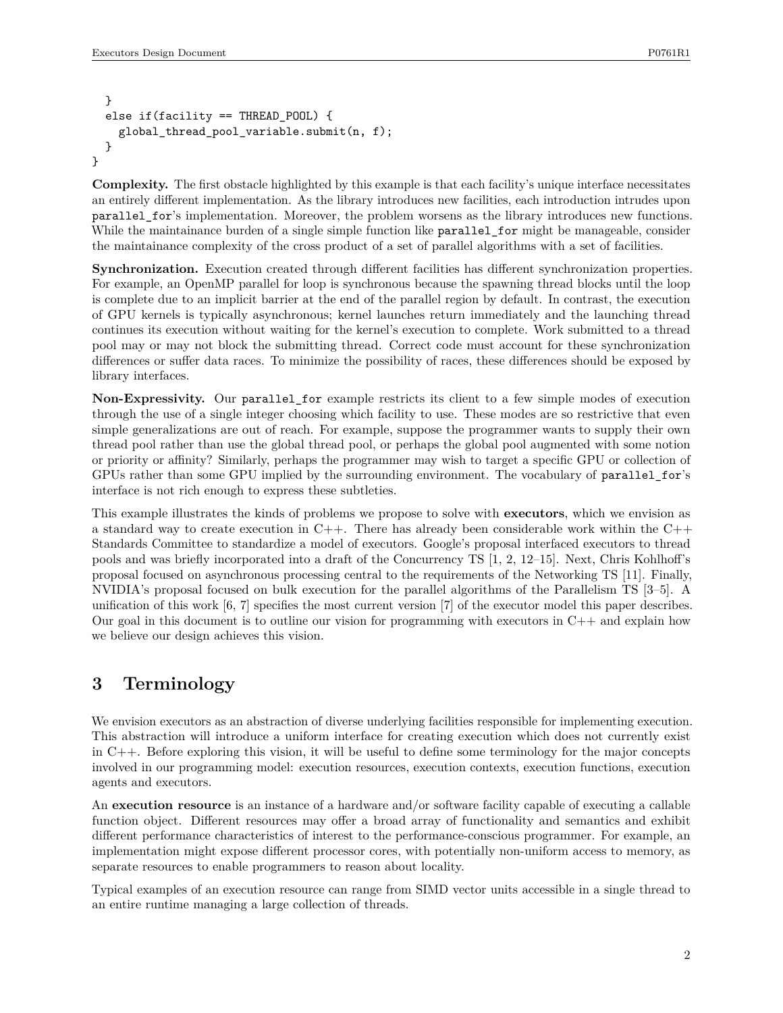```
}
  else if(facility == THREAD POOL) {
    global_thread_pool_variable.submit(n, f);
  }
}
```
**Complexity.** The first obstacle highlighted by this example is that each facility's unique interface necessitates an entirely different implementation. As the library introduces new facilities, each introduction intrudes upon parallel for's implementation. Moreover, the problem worsens as the library introduces new functions. While the maintainance burden of a single simple function like parallel\_for might be manageable, consider the maintainance complexity of the cross product of a set of parallel algorithms with a set of facilities.

**Synchronization.** Execution created through different facilities has different synchronization properties. For example, an OpenMP parallel for loop is synchronous because the spawning thread blocks until the loop is complete due to an implicit barrier at the end of the parallel region by default. In contrast, the execution of GPU kernels is typically asynchronous; kernel launches return immediately and the launching thread continues its execution without waiting for the kernel's execution to complete. Work submitted to a thread pool may or may not block the submitting thread. Correct code must account for these synchronization differences or suffer data races. To minimize the possibility of races, these differences should be exposed by library interfaces.

**Non-Expressivity.** Our parallel\_for example restricts its client to a few simple modes of execution through the use of a single integer choosing which facility to use. These modes are so restrictive that even simple generalizations are out of reach. For example, suppose the programmer wants to supply their own thread pool rather than use the global thread pool, or perhaps the global pool augmented with some notion or priority or affinity? Similarly, perhaps the programmer may wish to target a specific GPU or collection of GPUs rather than some GPU implied by the surrounding environment. The vocabulary of parallel\_for's interface is not rich enough to express these subtleties.

This example illustrates the kinds of problems we propose to solve with **executors**, which we envision as a standard way to create execution in  $C++$ . There has already been considerable work within the  $C++$ Standards Committee to standardize a model of executors. Google's proposal interfaced executors to thread pools and was briefly incorporated into a draft of the Concurrency TS [1, 2, 12–15]. Next, Chris Kohlhoff's proposal focused on asynchronous processing central to the requirements of the Networking TS [11]. Finally, NVIDIA's proposal focused on bulk execution for the parallel algorithms of the Parallelism TS [3–5]. A unification of this work [6, 7] specifies the most current version [7] of the executor model this paper describes. Our goal in this document is to outline our vision for programming with executors in  $C++$  and explain how we believe our design achieves this vision.

# **3 Terminology**

We envision executors as an abstraction of diverse underlying facilities responsible for implementing execution. This abstraction will introduce a uniform interface for creating execution which does not currently exist in C++. Before exploring this vision, it will be useful to define some terminology for the major concepts involved in our programming model: execution resources, execution contexts, execution functions, execution agents and executors.

An **execution resource** is an instance of a hardware and/or software facility capable of executing a callable function object. Different resources may offer a broad array of functionality and semantics and exhibit different performance characteristics of interest to the performance-conscious programmer. For example, an implementation might expose different processor cores, with potentially non-uniform access to memory, as separate resources to enable programmers to reason about locality.

Typical examples of an execution resource can range from SIMD vector units accessible in a single thread to an entire runtime managing a large collection of threads.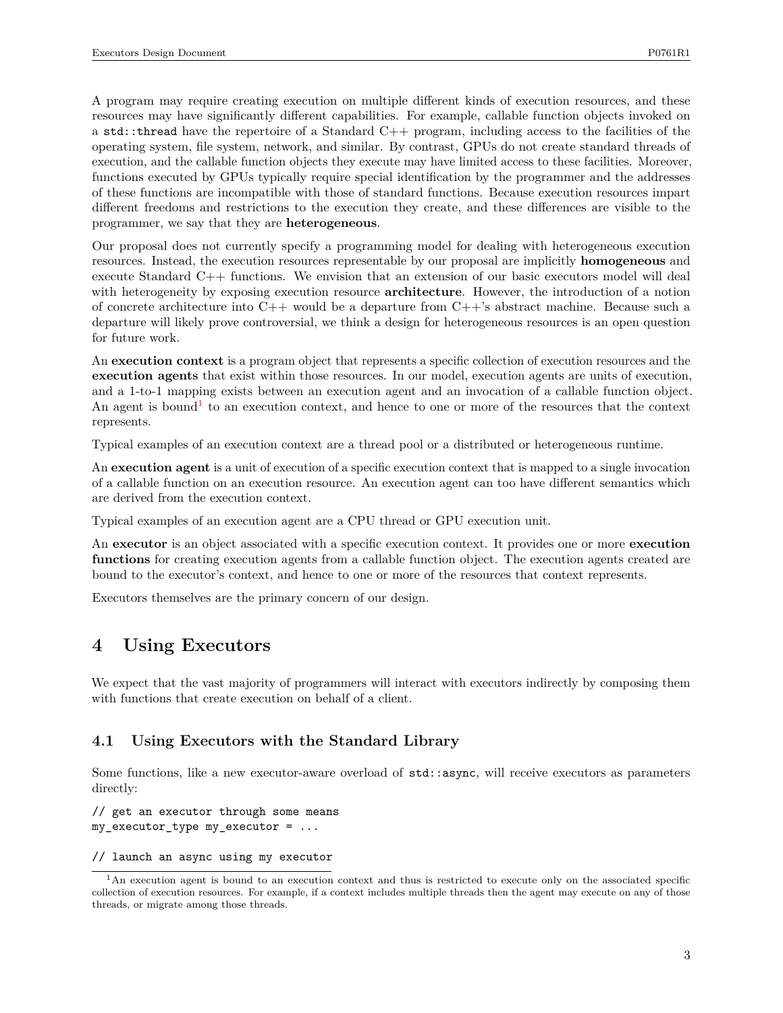A program may require creating execution on multiple different kinds of execution resources, and these resources may have significantly different capabilities. For example, callable function objects invoked on a std::thread have the repertoire of a Standard  $C_{++}$  program, including access to the facilities of the operating system, file system, network, and similar. By contrast, GPUs do not create standard threads of execution, and the callable function objects they execute may have limited access to these facilities. Moreover, functions executed by GPUs typically require special identification by the programmer and the addresses of these functions are incompatible with those of standard functions. Because execution resources impart different freedoms and restrictions to the execution they create, and these differences are visible to the programmer, we say that they are **heterogeneous**.

Our proposal does not currently specify a programming model for dealing with heterogeneous execution resources. Instead, the execution resources representable by our proposal are implicitly **homogeneous** and execute Standard C++ functions. We envision that an extension of our basic executors model will deal with heterogeneity by exposing execution resource **architecture**. However, the introduction of a notion of concrete architecture into  $C++$  would be a departure from  $C++$ 's abstract machine. Because such a departure will likely prove controversial, we think a design for heterogeneous resources is an open question for future work.

An **execution context** is a program object that represents a specific collection of execution resources and the **execution agents** that exist within those resources. In our model, execution agents are units of execution, and a 1-to-1 mapping exists between an execution agent and an invocation of a callable function object. An agent is bound<sup>[1](#page-2-0)</sup> to an execution context, and hence to one or more of the resources that the context represents.

Typical examples of an execution context are a thread pool or a distributed or heterogeneous runtime.

An **execution agent** is a unit of execution of a specific execution context that is mapped to a single invocation of a callable function on an execution resource. An execution agent can too have different semantics which are derived from the execution context.

Typical examples of an execution agent are a CPU thread or GPU execution unit.

An **executor** is an object associated with a specific execution context. It provides one or more **execution functions** for creating execution agents from a callable function object. The execution agents created are bound to the executor's context, and hence to one or more of the resources that context represents.

Executors themselves are the primary concern of our design.

## **4 Using Executors**

We expect that the vast majority of programmers will interact with executors indirectly by composing them with functions that create execution on behalf of a client.

#### **4.1 Using Executors with the Standard Library**

Some functions, like a new executor-aware overload of std::async, will receive executors as parameters directly:

// get an executor through some means my\_executor\_type my\_executor = ...

// launch an async using my executor

<span id="page-2-0"></span><sup>1</sup>An execution agent is bound to an execution context and thus is restricted to execute only on the associated specific collection of execution resources. For example, if a context includes multiple threads then the agent may execute on any of those threads, or migrate among those threads.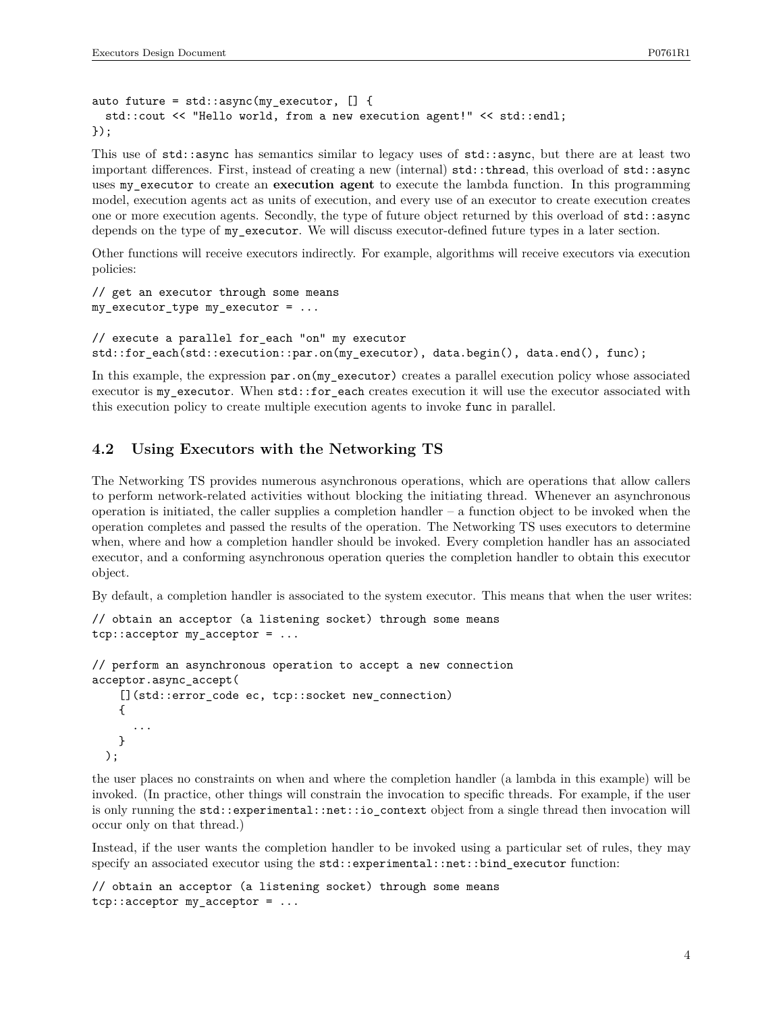```
auto future = std::async(my) executor, [] {
  std::cout << "Hello world, from a new execution agent!" << std::endl;
});
```
This use of std::async has semantics similar to legacy uses of std::async, but there are at least two important differences. First, instead of creating a new (internal) std::thread, this overload of std::async uses my\_executor to create an **execution agent** to execute the lambda function. In this programming model, execution agents act as units of execution, and every use of an executor to create execution creates one or more execution agents. Secondly, the type of future object returned by this overload of std::async depends on the type of my\_executor. We will discuss executor-defined future types in a later section.

Other functions will receive executors indirectly. For example, algorithms will receive executors via execution policies:

```
// get an executor through some means
my\_execution\_type my_executor = ...
```
// execute a parallel for\_each "on" my executor std::for\_each(std::execution::par.on(my\_executor), data.begin(), data.end(), func);

In this example, the expression par.on(my\_executor) creates a parallel execution policy whose associated executor is my executor. When std::for each creates execution it will use the executor associated with this execution policy to create multiple execution agents to invoke func in parallel.

#### **4.2 Using Executors with the Networking TS**

The Networking TS provides numerous asynchronous operations, which are operations that allow callers to perform network-related activities without blocking the initiating thread. Whenever an asynchronous operation is initiated, the caller supplies a completion handler – a function object to be invoked when the operation completes and passed the results of the operation. The Networking TS uses executors to determine when, where and how a completion handler should be invoked. Every completion handler has an associated executor, and a conforming asynchronous operation queries the completion handler to obtain this executor object.

By default, a completion handler is associated to the system executor. This means that when the user writes:

```
// obtain an acceptor (a listening socket) through some means
tcp::acceptor my_acceptor = ...
// perform an asynchronous operation to accept a new connection
```

```
acceptor.async_accept(
    [](std::error_code ec, tcp::socket new_connection)
    {
      ...
    }
  );
```
the user places no constraints on when and where the completion handler (a lambda in this example) will be invoked. (In practice, other things will constrain the invocation to specific threads. For example, if the user is only running the std::experimental::net::io\_context object from a single thread then invocation will occur only on that thread.)

Instead, if the user wants the completion handler to be invoked using a particular set of rules, they may specify an associated executor using the  $std::experimental::net::bind\_executor$  function:

```
// obtain an acceptor (a listening socket) through some means
tcp::acceptor my_acceptor = ...
```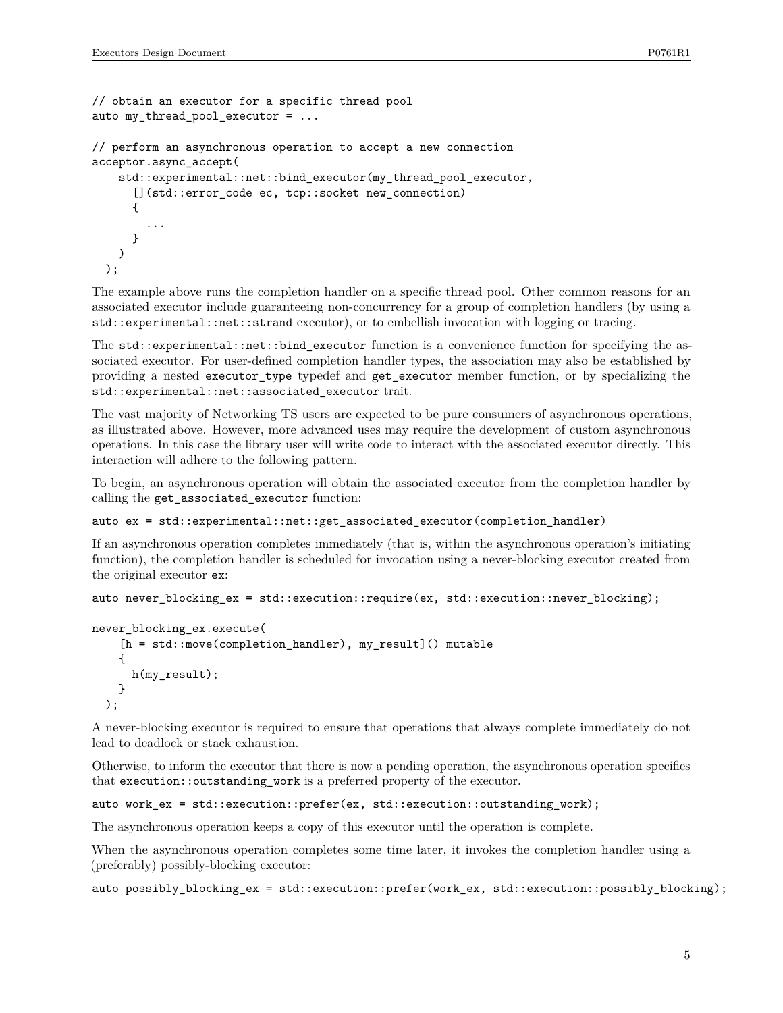```
// obtain an executor for a specific thread pool
auto my_thread_pool_executor = ...
```

```
// perform an asynchronous operation to accept a new connection
acceptor.async_accept(
```

```
std::experimental::net::bind executor(my thread pool executor,
    [](std::error code ec, tcp::socket new connection)
    {
      ...
    }
 )
);
```
The example above runs the completion handler on a specific thread pool. Other common reasons for an associated executor include guaranteeing non-concurrency for a group of completion handlers (by using a std::experimental::net::strand executor), or to embellish invocation with logging or tracing.

The std::experimental::net::bind\_executor function is a convenience function for specifying the associated executor. For user-defined completion handler types, the association may also be established by providing a nested executor\_type typedef and get\_executor member function, or by specializing the std::experimental::net::associated executor trait.

The vast majority of Networking TS users are expected to be pure consumers of asynchronous operations, as illustrated above. However, more advanced uses may require the development of custom asynchronous operations. In this case the library user will write code to interact with the associated executor directly. This interaction will adhere to the following pattern.

To begin, an asynchronous operation will obtain the associated executor from the completion handler by calling the get\_associated\_executor function:

```
auto ex = std::experimental::net::get_associated_executor(completion_handler)
```
If an asynchronous operation completes immediately (that is, within the asynchronous operation's initiating function), the completion handler is scheduled for invocation using a never-blocking executor created from the original executor ex:

```
auto never_blocking_ex = std::execution::require(ex, std::execution::never_blocking);
```

```
never blocking ex.execute(
    [h = std::move(completion_handler), my_result]() mutable
    {
      h(my_result);
    }
  );
```
A never-blocking executor is required to ensure that operations that always complete immediately do not lead to deadlock or stack exhaustion.

Otherwise, to inform the executor that there is now a pending operation, the asynchronous operation specifies that execution::outstanding\_work is a preferred property of the executor.

```
auto work_ex = std::execution::prefer(ex, std::execution::outstanding_work);
```
The asynchronous operation keeps a copy of this executor until the operation is complete.

When the asynchronous operation completes some time later, it invokes the completion handler using a (preferably) possibly-blocking executor:

auto possibly blocking ex = std::execution::prefer(work ex, std::execution::possibly blocking);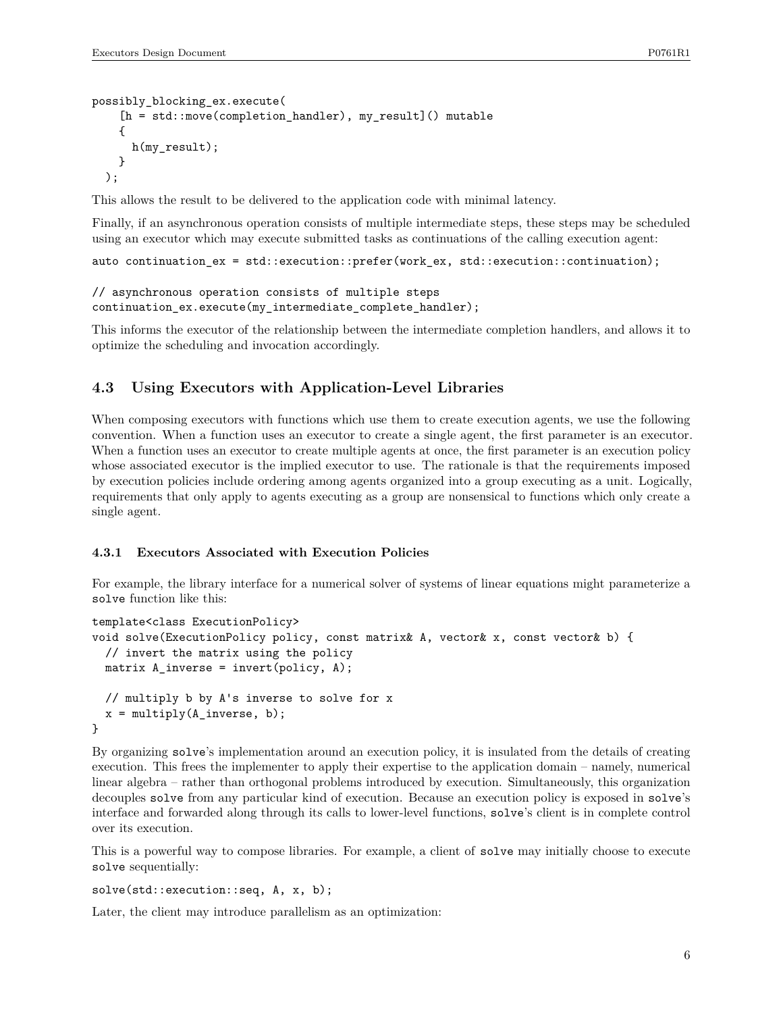```
possibly_blocking_ex.execute(
    [h = std::move(completion_handler), my_result]() mutable
    {
      h(my_result);
    }
  );
```
This allows the result to be delivered to the application code with minimal latency.

Finally, if an asynchronous operation consists of multiple intermediate steps, these steps may be scheduled using an executor which may execute submitted tasks as continuations of the calling execution agent:

```
auto continuation_ex = std::execution::prefer(work_ex, std::execution::continuation);
```

```
// asynchronous operation consists of multiple steps
continuation_ex.execute(my_intermediate_complete_handler);
```
This informs the executor of the relationship between the intermediate completion handlers, and allows it to optimize the scheduling and invocation accordingly.

## **4.3 Using Executors with Application-Level Libraries**

When composing executors with functions which use them to create execution agents, we use the following convention. When a function uses an executor to create a single agent, the first parameter is an executor. When a function uses an executor to create multiple agents at once, the first parameter is an execution policy whose associated executor is the implied executor to use. The rationale is that the requirements imposed by execution policies include ordering among agents organized into a group executing as a unit. Logically, requirements that only apply to agents executing as a group are nonsensical to functions which only create a single agent.

#### **4.3.1 Executors Associated with Execution Policies**

For example, the library interface for a numerical solver of systems of linear equations might parameterize a solve function like this:

```
template<class ExecutionPolicy>
void solve(ExecutionPolicy policy, const matrix& A, vector& x, const vector& b) {
  // invert the matrix using the policy
  matrix A_inverse = invert(policy, A);
  // multiply b by A's inverse to solve for x
  x = multiply(A_inverse, b);}
```
By organizing solve's implementation around an execution policy, it is insulated from the details of creating execution. This frees the implementer to apply their expertise to the application domain – namely, numerical linear algebra – rather than orthogonal problems introduced by execution. Simultaneously, this organization decouples solve from any particular kind of execution. Because an execution policy is exposed in solve's interface and forwarded along through its calls to lower-level functions, solve's client is in complete control over its execution.

This is a powerful way to compose libraries. For example, a client of solve may initially choose to execute solve sequentially:

```
solve(std::execution::seq, A, x, b);
```
Later, the client may introduce parallelism as an optimization: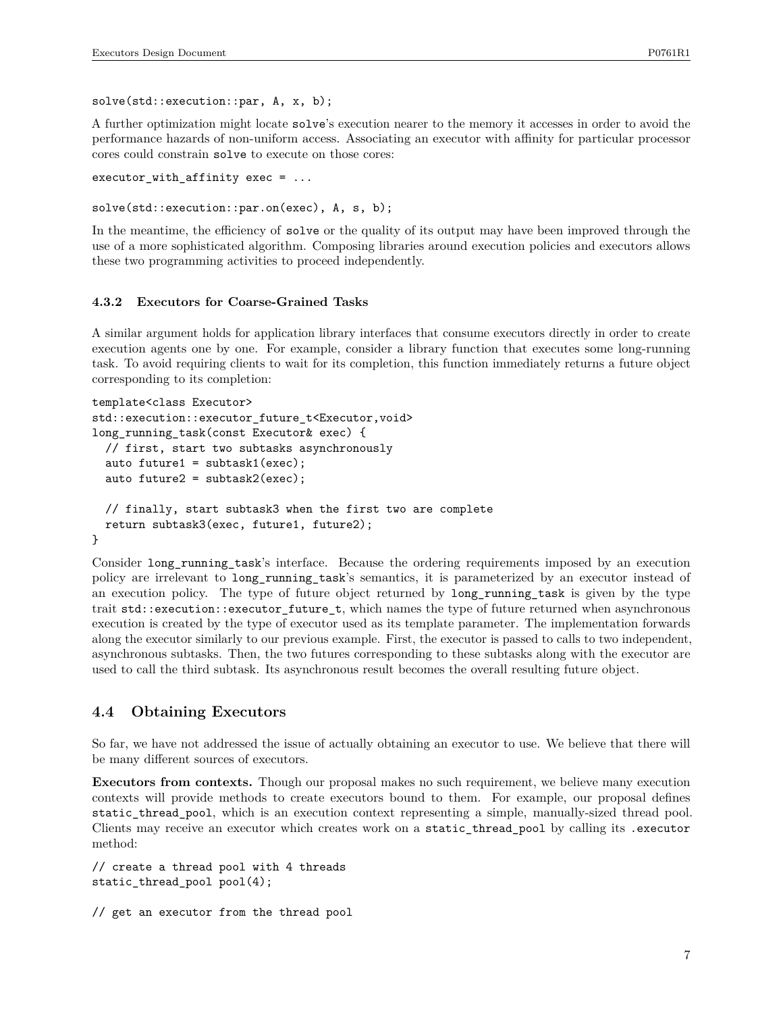solve(std::execution::par, A, x, b);

A further optimization might locate solve's execution nearer to the memory it accesses in order to avoid the performance hazards of non-uniform access. Associating an executor with affinity for particular processor cores could constrain solve to execute on those cores:

```
executor_with_affinity exec = \dots
```
solve(std::execution::par.on(exec), A, s, b);

In the meantime, the efficiency of solve or the quality of its output may have been improved through the use of a more sophisticated algorithm. Composing libraries around execution policies and executors allows these two programming activities to proceed independently.

#### **4.3.2 Executors for Coarse-Grained Tasks**

A similar argument holds for application library interfaces that consume executors directly in order to create execution agents one by one. For example, consider a library function that executes some long-running task. To avoid requiring clients to wait for its completion, this function immediately returns a future object corresponding to its completion:

```
template<class Executor>
std::execution::executor_future_t<Executor,void>
long_running_task(const Executor& exec) {
  // first, start two subtasks asynchronously
  auto future1 = subtask1(exec);
  auto future2 = subtask2(exec);
  // finally, start subtask3 when the first two are complete
  return subtask3(exec, future1, future2);
}
```
Consider long\_running\_task's interface. Because the ordering requirements imposed by an execution policy are irrelevant to long\_running\_task's semantics, it is parameterized by an executor instead of an execution policy. The type of future object returned by long\_running\_task is given by the type trait std::execution::executor\_future\_t, which names the type of future returned when asynchronous execution is created by the type of executor used as its template parameter. The implementation forwards along the executor similarly to our previous example. First, the executor is passed to calls to two independent, asynchronous subtasks. Then, the two futures corresponding to these subtasks along with the executor are used to call the third subtask. Its asynchronous result becomes the overall resulting future object.

#### **4.4 Obtaining Executors**

So far, we have not addressed the issue of actually obtaining an executor to use. We believe that there will be many different sources of executors.

**Executors from contexts.** Though our proposal makes no such requirement, we believe many execution contexts will provide methods to create executors bound to them. For example, our proposal defines static\_thread\_pool, which is an execution context representing a simple, manually-sized thread pool. Clients may receive an executor which creates work on a static\_thread\_pool by calling its .executor method:

// create a thread pool with 4 threads static\_thread\_pool pool(4);

```
// get an executor from the thread pool
```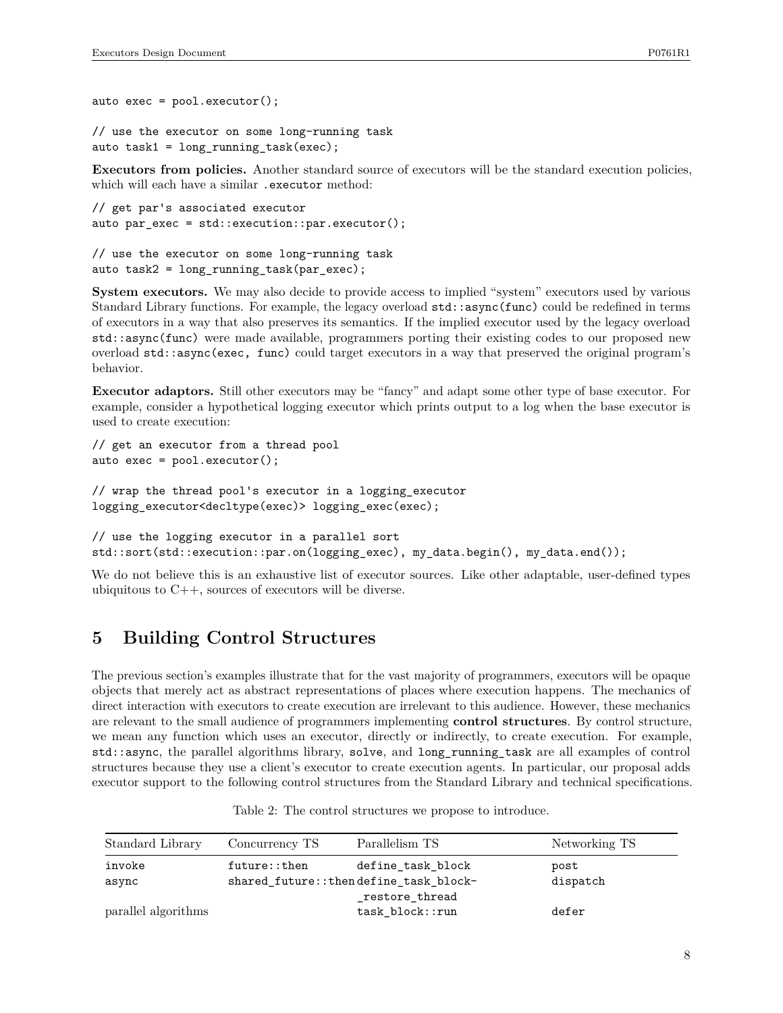auto  $exec = pool.executecutor();$ // use the executor on some long-running task

auto task1 = long\_running\_task(exec);

**Executors from policies.** Another standard source of executors will be the standard execution policies, which will each have a similar .executor method:

```
// get par's associated executor
auto par_exec = std::execution::par.executor();
```

```
// use the executor on some long-running task
auto task2 = long_running_task(par_exec);
```
**System executors.** We may also decide to provide access to implied "system" executors used by various Standard Library functions. For example, the legacy overload std::async(func) could be redefined in terms of executors in a way that also preserves its semantics. If the implied executor used by the legacy overload std::async(func) were made available, programmers porting their existing codes to our proposed new overload std::async(exec, func) could target executors in a way that preserved the original program's behavior.

**Executor adaptors.** Still other executors may be "fancy" and adapt some other type of base executor. For example, consider a hypothetical logging executor which prints output to a log when the base executor is used to create execution:

```
// get an executor from a thread pool
auto exec = pool.executor();
```

```
// wrap the thread pool's executor in a logging_executor
logging_executor<decltype(exec)> logging_exec(exec);
```

```
// use the logging executor in a parallel sort
std::sort(std::execution::par.on(logging_exec), my_data.begin(), my_data.end());
```
We do not believe this is an exhaustive list of executor sources. Like other adaptable, user-defined types ubiquitous to  $C++$ , sources of executors will be diverse.

# **5 Building Control Structures**

The previous section's examples illustrate that for the vast majority of programmers, executors will be opaque objects that merely act as abstract representations of places where execution happens. The mechanics of direct interaction with executors to create execution are irrelevant to this audience. However, these mechanics are relevant to the small audience of programmers implementing **control structures**. By control structure, we mean any function which uses an executor, directly or indirectly, to create execution. For example, std::async, the parallel algorithms library, solve, and long\_running\_task are all examples of control structures because they use a client's executor to create execution agents. In particular, our proposal adds executor support to the following control structures from the Standard Library and technical specifications.

| Standard Library    | Concurrency TS | Parallelism TS                         | Networking TS |
|---------------------|----------------|----------------------------------------|---------------|
| invoke              | future::then   | define task block                      | post          |
| async               |                | shared future:: thendefine task block- | dispatch      |
|                     |                | restore thread                         |               |
| parallel algorithms |                | $task\_block::run$                     | defer         |

| Table 2: The control structures we propose to introduce. |  |  |
|----------------------------------------------------------|--|--|
|----------------------------------------------------------|--|--|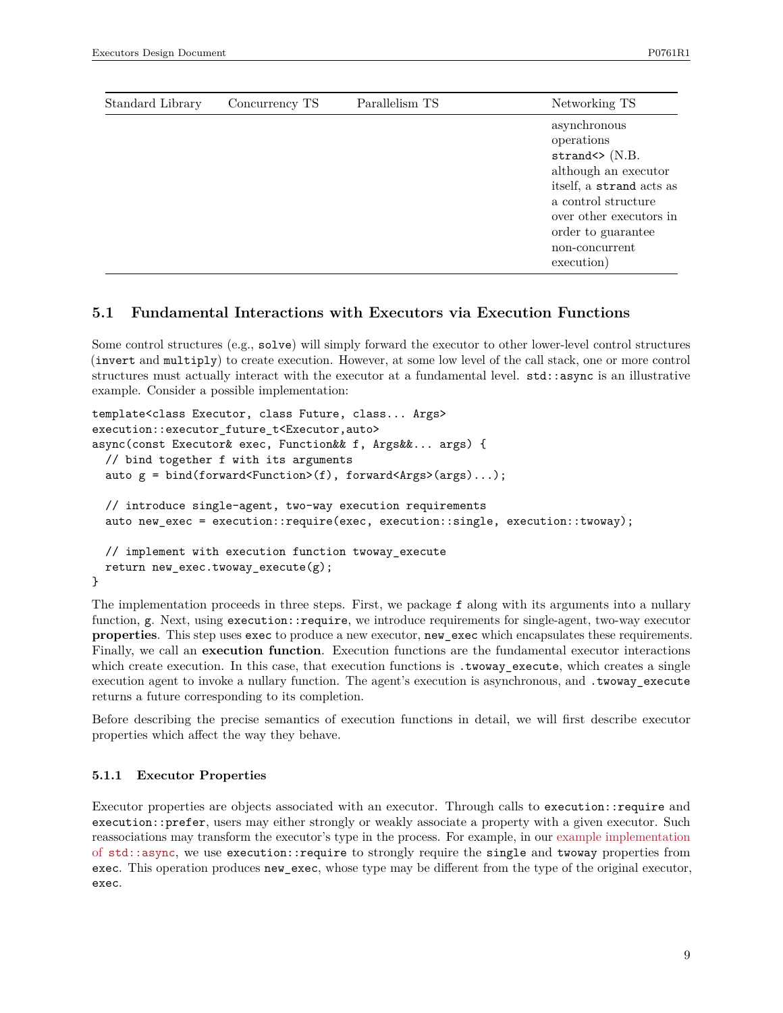| Standard Library | Concurrency TS | Parallelism TS | Networking TS                                                                                                                                                                                                            |
|------------------|----------------|----------------|--------------------------------------------------------------------------------------------------------------------------------------------------------------------------------------------------------------------------|
|                  |                |                | asynchronous<br>operations<br>strand $\langle \rangle$ (N.B.<br>although an executor<br>itself, a strand acts as<br>a control structure<br>over other executors in<br>order to guarantee<br>non-concurrent<br>execution) |

## **5.1 Fundamental Interactions with Executors via Execution Functions**

Some control structures (e.g., solve) will simply forward the executor to other lower-level control structures (invert and multiply) to create execution. However, at some low level of the call stack, one or more control structures must actually interact with the executor at a fundamental level. std::async is an illustrative example. Consider a possible implementation:

```
template<class Executor, class Future, class... Args>
execution::executor_future_t<Executor,auto>
async(const Executor& exec, Function&& f, Args&&... args) {
  // bind together f with its arguments
  auto g = \text{bind}(forward\text{-Function}>(f), forward\text{-Arg}>(args)...);// introduce single-agent, two-way execution requirements
  auto new_exec = execution::require(exec, execution::single, execution::twoway);
  // implement with execution function twoway_execute
  return new exec.twoway execute(g);
}
```
The implementation proceeds in three steps. First, we package f along with its arguments into a nullary function, g. Next, using execution::require, we introduce requirements for single-agent, two-way executor **properties**. This step uses exec to produce a new executor, new\_exec which encapsulates these requirements. Finally, we call an **execution function**. Execution functions are the fundamental executor interactions which create execution. In this case, that execution functions is . twoway\_execute, which creates a single execution agent to invoke a nullary function. The agent's execution is asynchronous, and .twoway\_execute returns a future corresponding to its completion.

Before describing the precise semantics of execution functions in detail, we will first describe executor properties which affect the way they behave.

#### **5.1.1 Executor Properties**

Executor properties are objects associated with an executor. Through calls to execution::require and execution::prefer, users may either strongly or weakly associate a property with a given executor. Such reassociations may transform the executor's type in the process. For example, in our [example implementation](#page-8-0) of [std::async](#page-8-0), we use execution::require to strongly require the single and twoway properties from exec. This operation produces new exec, whose type may be different from the type of the original executor, exec.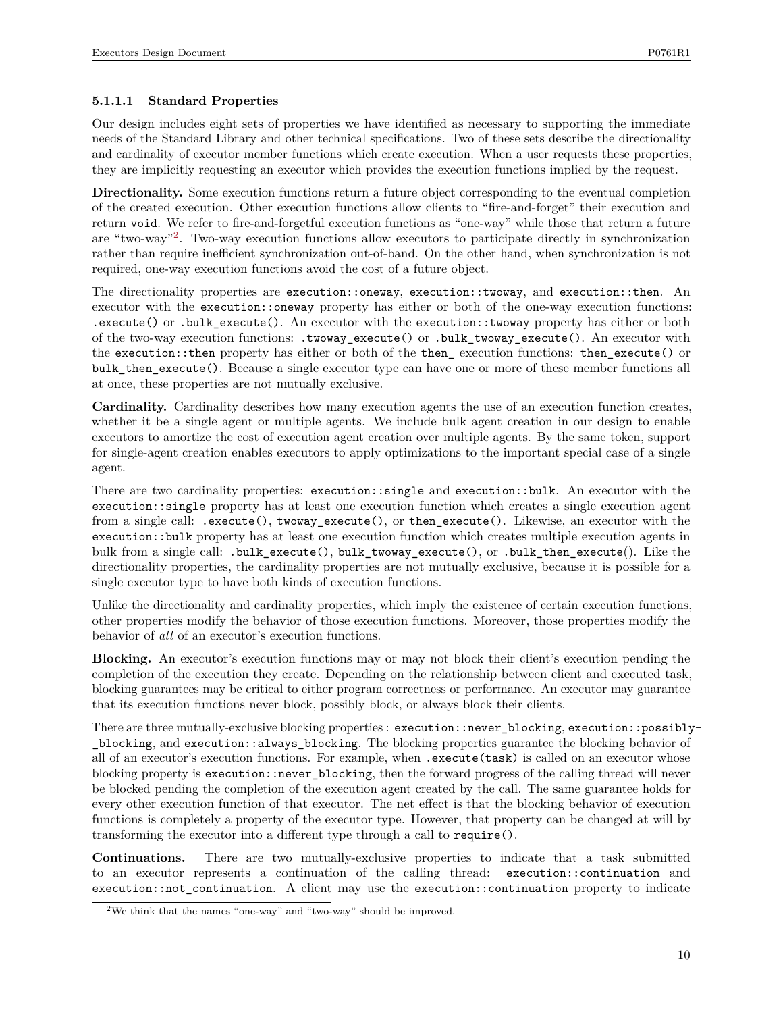### **5.1.1.1 Standard Properties**

Our design includes eight sets of properties we have identified as necessary to supporting the immediate needs of the Standard Library and other technical specifications. Two of these sets describe the directionality and cardinality of executor member functions which create execution. When a user requests these properties, they are implicitly requesting an executor which provides the execution functions implied by the request.

**Directionality.** Some execution functions return a future object corresponding to the eventual completion of the created execution. Other execution functions allow clients to "fire-and-forget" their execution and return void. We refer to fire-and-forgetful execution functions as "one-way" while those that return a future are "two-way"<sup>[2](#page-9-0)</sup>. Two-way execution functions allow executors to participate directly in synchronization rather than require inefficient synchronization out-of-band. On the other hand, when synchronization is not required, one-way execution functions avoid the cost of a future object.

The directionality properties are execution::oneway, execution::twoway, and execution::then. An executor with the execution::oneway property has either or both of the one-way execution functions: .execute() or .bulk\_execute(). An executor with the execution::twoway property has either or both of the two-way execution functions: .twoway\_execute() or .bulk\_twoway\_execute(). An executor with the execution::then property has either or both of the then\_ execution functions: then\_execute() or bulk then execute(). Because a single executor type can have one or more of these member functions all at once, these properties are not mutually exclusive.

**Cardinality.** Cardinality describes how many execution agents the use of an execution function creates, whether it be a single agent or multiple agents. We include bulk agent creation in our design to enable executors to amortize the cost of execution agent creation over multiple agents. By the same token, support for single-agent creation enables executors to apply optimizations to the important special case of a single agent.

There are two cardinality properties: execution::single and execution::bulk. An executor with the execution::single property has at least one execution function which creates a single execution agent from a single call: .execute(), twoway\_execute(), or then\_execute(). Likewise, an executor with the execution::bulk property has at least one execution function which creates multiple execution agents in bulk from a single call: .bulk\_execute(), bulk\_twoway\_execute(), or .bulk\_then\_execute(). Like the directionality properties, the cardinality properties are not mutually exclusive, because it is possible for a single executor type to have both kinds of execution functions.

Unlike the directionality and cardinality properties, which imply the existence of certain execution functions, other properties modify the behavior of those execution functions. Moreover, those properties modify the behavior of *all* of an executor's execution functions.

**Blocking.** An executor's execution functions may or may not block their client's execution pending the completion of the execution they create. Depending on the relationship between client and executed task, blocking guarantees may be critical to either program correctness or performance. An executor may guarantee that its execution functions never block, possibly block, or always block their clients.

There are three mutually-exclusive blocking properties : execution::never\_blocking, execution::possibly- \_blocking, and execution::always\_blocking. The blocking properties guarantee the blocking behavior of all of an executor's execution functions. For example, when .execute(task) is called on an executor whose blocking property is execution::never\_blocking, then the forward progress of the calling thread will never be blocked pending the completion of the execution agent created by the call. The same guarantee holds for every other execution function of that executor. The net effect is that the blocking behavior of execution functions is completely a property of the executor type. However, that property can be changed at will by transforming the executor into a different type through a call to require().

**Continuations.** There are two mutually-exclusive properties to indicate that a task submitted to an executor represents a continuation of the calling thread: execution::continuation and  $e$ xecution::not continuation. A client may use the execution::continuation property to indicate

<span id="page-9-0"></span><sup>2</sup>We think that the names "one-way" and "two-way" should be improved.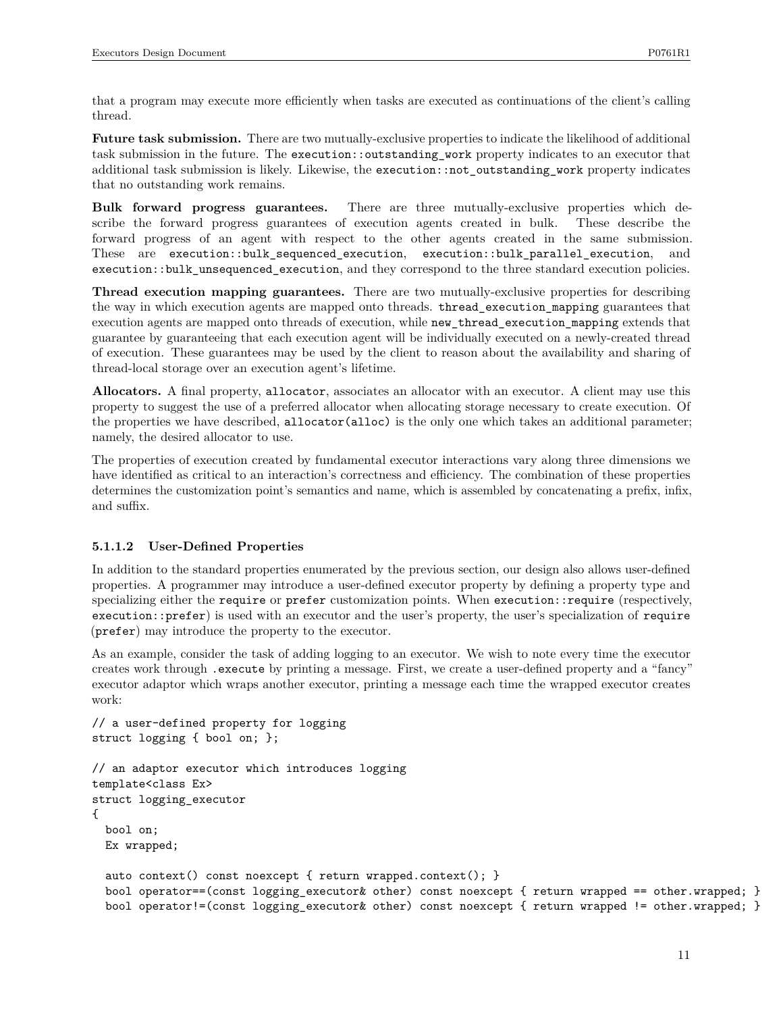that a program may execute more efficiently when tasks are executed as continuations of the client's calling thread.

**Future task submission.** There are two mutually-exclusive properties to indicate the likelihood of additional task submission in the future. The execution::outstanding\_work property indicates to an executor that additional task submission is likely. Likewise, the execution::not\_outstanding\_work property indicates that no outstanding work remains.

**Bulk forward progress guarantees.** There are three mutually-exclusive properties which describe the forward progress guarantees of execution agents created in bulk. These describe the forward progress of an agent with respect to the other agents created in the same submission. These are execution::bulk\_sequenced\_execution, execution::bulk\_parallel\_execution, and execution::bulk\_unsequenced\_execution, and they correspond to the three standard execution policies.

**Thread execution mapping guarantees.** There are two mutually-exclusive properties for describing the way in which execution agents are mapped onto threads. thread\_execution\_mapping guarantees that execution agents are mapped onto threads of execution, while new\_thread\_execution\_mapping extends that guarantee by guaranteeing that each execution agent will be individually executed on a newly-created thread of execution. These guarantees may be used by the client to reason about the availability and sharing of thread-local storage over an execution agent's lifetime.

**Allocators.** A final property, allocator, associates an allocator with an executor. A client may use this property to suggest the use of a preferred allocator when allocating storage necessary to create execution. Of the properties we have described, allocator(alloc) is the only one which takes an additional parameter; namely, the desired allocator to use.

The properties of execution created by fundamental executor interactions vary along three dimensions we have identified as critical to an interaction's correctness and efficiency. The combination of these properties determines the customization point's semantics and name, which is assembled by concatenating a prefix, infix, and suffix.

### **5.1.1.2 User-Defined Properties**

In addition to the standard properties enumerated by the previous section, our design also allows user-defined properties. A programmer may introduce a user-defined executor property by defining a property type and specializing either the require or prefer customization points. When execution::require (respectively, execution::prefer) is used with an executor and the user's property, the user's specialization of require (prefer) may introduce the property to the executor.

As an example, consider the task of adding logging to an executor. We wish to note every time the executor creates work through .execute by printing a message. First, we create a user-defined property and a "fancy" executor adaptor which wraps another executor, printing a message each time the wrapped executor creates work:

```
// a user-defined property for logging
struct logging { bool on; };
// an adaptor executor which introduces logging
template<class Ex>
struct logging_executor
{
  bool on;
  Ex wrapped;
  auto context() const noexcept { return wrapped.context(); }
  bool operator==(const logging_executor& other) const noexcept { return wrapped == other.wrapped; }
  bool operator!=(const logging_executor& other) const noexcept { return wrapped != other.wrapped; }
```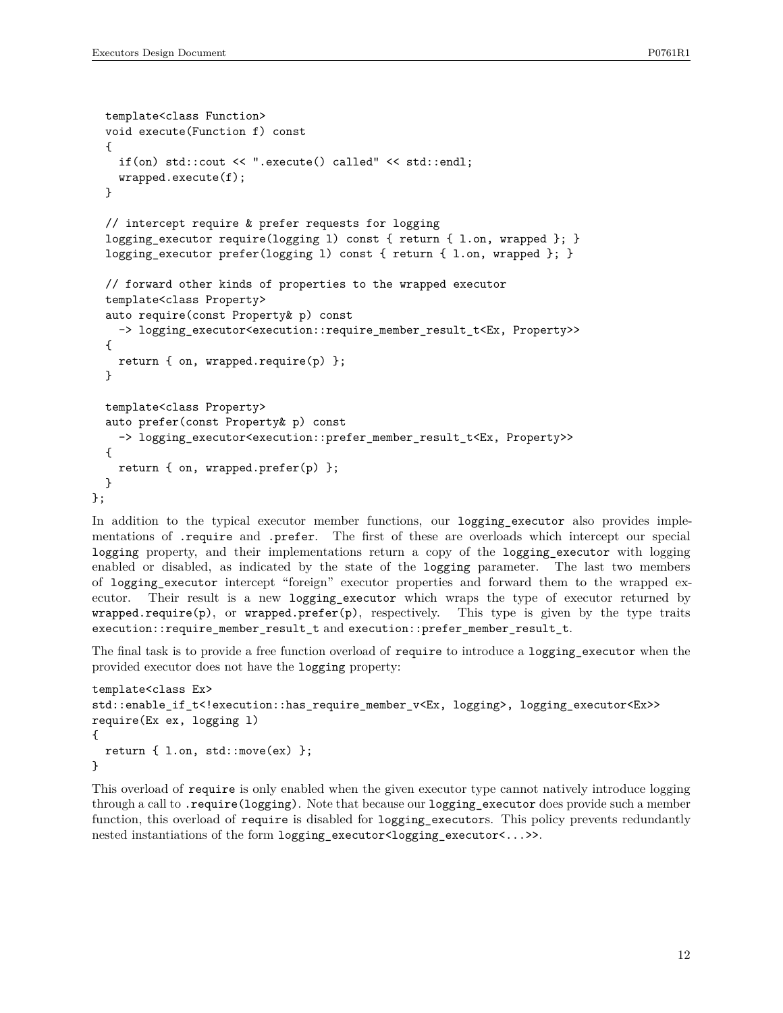```
template<class Function>
  void execute(Function f) const
  {
    if(on) std::cout << ".execute() called" << std::endl;
   wrapped.execute(f);
  }
  // intercept require & prefer requests for logging
  logging_executor require(logging l) const { return { l.on, wrapped }; }
  logging_executor prefer(logging l) const { return { l.on, wrapped }; }
  // forward other kinds of properties to the wrapped executor
  template<class Property>
  auto require(const Property& p) const
    -> logging_executor<execution::require_member_result_t<Ex, Property>>
  {
   return { on, wrapped.require(p) };
  }
  template<class Property>
  auto prefer(const Property& p) const
    -> logging_executor<execution::prefer_member_result_t<Ex, Property>>
  {
   return { on, wrapped.prefer(p) };
  }
};
```
In addition to the typical executor member functions, our logging\_executor also provides implementations of .require and .prefer. The first of these are overloads which intercept our special logging property, and their implementations return a copy of the logging\_executor with logging enabled or disabled, as indicated by the state of the logging parameter. The last two members of logging\_executor intercept "foreign" executor properties and forward them to the wrapped executor. Their result is a new logging\_executor which wraps the type of executor returned by  $w$ rapped.require(p), or  $w$ rapped.prefer(p), respectively. This type is given by the type traits execution::require member result t and execution::prefer member result t.

The final task is to provide a free function overload of require to introduce a logging executor when the provided executor does not have the logging property:

```
template<class Ex>
std::enable if t<!execution::has require member v<Ex, logging>, logging executor<Ex>>
require(Ex ex, logging l)
{
  return { l.on, std::move(ex) };
}
```
This overload of require is only enabled when the given executor type cannot natively introduce logging through a call to .require(logging). Note that because our logging\_executor does provide such a member function, this overload of require is disabled for logging\_executors. This policy prevents redundantly nested instantiations of the form logging\_executor<logging\_executor<...>>.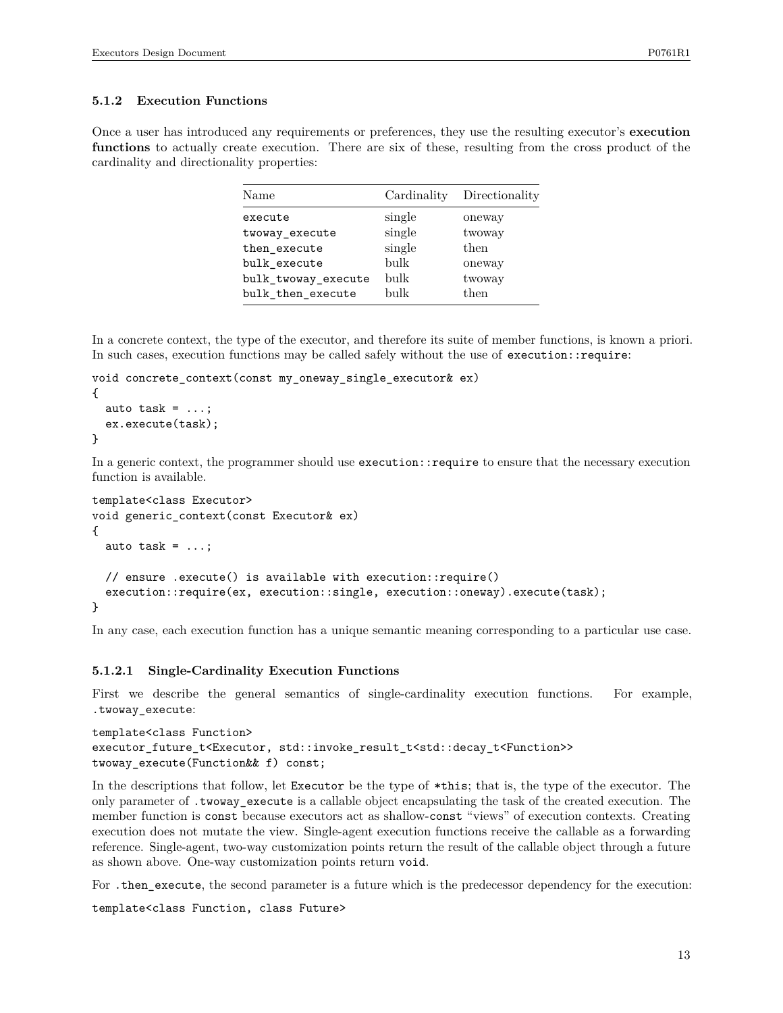#### **5.1.2 Execution Functions**

Once a user has introduced any requirements or preferences, they use the resulting executor's **execution functions** to actually create execution. There are six of these, resulting from the cross product of the cardinality and directionality properties:

| Name                | Cardinality | Directionality |
|---------------------|-------------|----------------|
| execute             | single      | oneway         |
| twoway_execute      | single      | twoway         |
| then_execute        | single      | then           |
| bulk execute        | bulk        | oneway         |
| bulk_twoway_execute | bulk        | twoway         |
| bulk then execute   | bulk        | then           |

In a concrete context, the type of the executor, and therefore its suite of member functions, is known a priori. In such cases, execution functions may be called safely without the use of execution::require:

```
void concrete_context(const my_oneway_single_executor& ex)
{
  auto task = \dots;
  ex.execute(task);
}
```
In a generic context, the programmer should use execution::require to ensure that the necessary execution function is available.

```
template<class Executor>
void generic_context(const Executor& ex)
{
  auto task = \dots;
  // ensure .execute() is available with execution::require()
  execution::require(ex, execution::single, execution::oneway).execute(task);
}
```
In any case, each execution function has a unique semantic meaning corresponding to a particular use case.

#### **5.1.2.1 Single-Cardinality Execution Functions**

First we describe the general semantics of single-cardinality execution functions. For example, .twoway\_execute:

```
template<class Function>
executor_future_t<Executor, std::invoke_result_t<std::decay_t<Function>>
twoway execute(Function&& f) const;
```
In the descriptions that follow, let Executor be the type of  $*$ this; that is, the type of the executor. The only parameter of .twoway\_execute is a callable object encapsulating the task of the created execution. The member function is const because executors act as shallow-const "views" of execution contexts. Creating execution does not mutate the view. Single-agent execution functions receive the callable as a forwarding reference. Single-agent, two-way customization points return the result of the callable object through a future as shown above. One-way customization points return void.

For .then\_execute, the second parameter is a future which is the predecessor dependency for the execution:

template<class Function, class Future>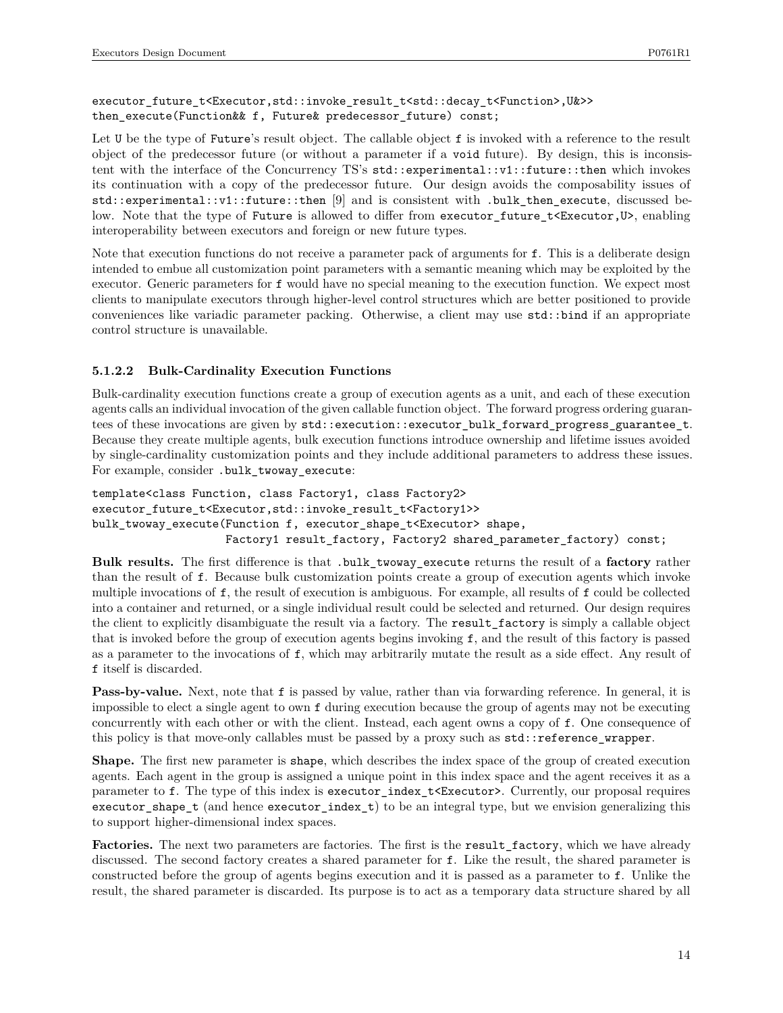executor\_future\_t<Executor,std::invoke\_result\_t<std::decay\_t<Function>,U&>> then\_execute(Function&& f, Future& predecessor\_future) const;

Let U be the type of Future's result object. The callable object f is invoked with a reference to the result object of the predecessor future (or without a parameter if a void future). By design, this is inconsistent with the interface of the Concurrency TS's std::experimental::v1::future::then which invokes its continuation with a copy of the predecessor future. Our design avoids the composability issues of std::experimental::v1::future::then [9] and is consistent with .bulk\_then\_execute, discussed below. Note that the type of Future is allowed to differ from executor future t<Executor,U>, enabling interoperability between executors and foreign or new future types.

Note that execution functions do not receive a parameter pack of arguments for f. This is a deliberate design intended to embue all customization point parameters with a semantic meaning which may be exploited by the executor. Generic parameters for f would have no special meaning to the execution function. We expect most clients to manipulate executors through higher-level control structures which are better positioned to provide conveniences like variadic parameter packing. Otherwise, a client may use std::bind if an appropriate control structure is unavailable.

#### **5.1.2.2 Bulk-Cardinality Execution Functions**

Bulk-cardinality execution functions create a group of execution agents as a unit, and each of these execution agents calls an individual invocation of the given callable function object. The forward progress ordering guarantees of these invocations are given by  $std::execution::execution\_bulk$  forward\_progress\_guarantee\_t. Because they create multiple agents, bulk execution functions introduce ownership and lifetime issues avoided by single-cardinality customization points and they include additional parameters to address these issues. For example, consider .bulk\_twoway\_execute:

```
template<class Function, class Factory1, class Factory2>
executor_future_t<Executor,std::invoke_result_t<Factory1>>
bulk_twoway_execute(Function f, executor_shape_t<Executor> shape,
                    Factory1 result_factory, Factory2 shared_parameter_factory) const;
```
**Bulk results.** The first difference is that .bulk\_twoway\_execute returns the result of a **factory** rather than the result of f. Because bulk customization points create a group of execution agents which invoke multiple invocations of f, the result of execution is ambiguous. For example, all results of f could be collected into a container and returned, or a single individual result could be selected and returned. Our design requires the client to explicitly disambiguate the result via a factory. The result\_factory is simply a callable object that is invoked before the group of execution agents begins invoking f, and the result of this factory is passed as a parameter to the invocations of f, which may arbitrarily mutate the result as a side effect. Any result of f itself is discarded.

**Pass-by-value.** Next, note that **f** is passed by value, rather than via forwarding reference. In general, it is impossible to elect a single agent to own f during execution because the group of agents may not be executing concurrently with each other or with the client. Instead, each agent owns a copy of f. One consequence of this policy is that move-only callables must be passed by a proxy such as  $std::reference\_vrapper$ .

**Shape.** The first new parameter is shape, which describes the index space of the group of created execution agents. Each agent in the group is assigned a unique point in this index space and the agent receives it as a parameter to f. The type of this index is executor\_index\_t<Executor>. Currently, our proposal requires executor\_shape\_t (and hence executor\_index\_t) to be an integral type, but we envision generalizing this to support higher-dimensional index spaces.

Factories. The next two parameters are factories. The first is the result\_factory, which we have already discussed. The second factory creates a shared parameter for f. Like the result, the shared parameter is constructed before the group of agents begins execution and it is passed as a parameter to f. Unlike the result, the shared parameter is discarded. Its purpose is to act as a temporary data structure shared by all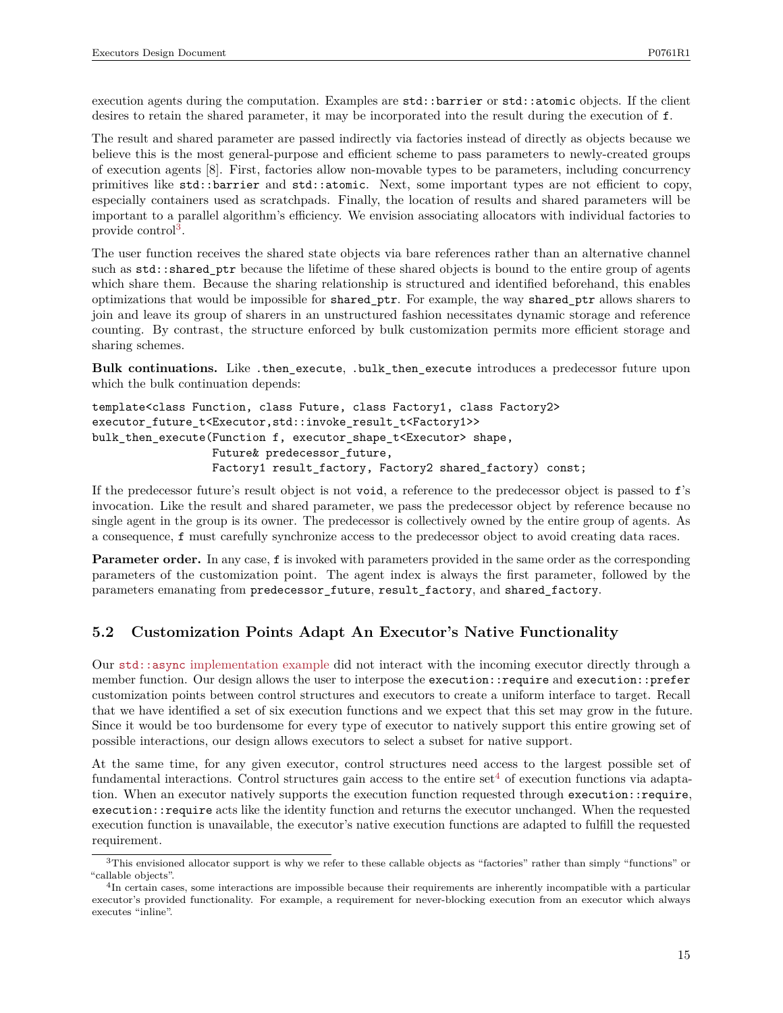execution agents during the computation. Examples are  $\text{std}$ ::barrier or  $\text{std}$ ::atomic objects. If the client desires to retain the shared parameter, it may be incorporated into the result during the execution of f.

The result and shared parameter are passed indirectly via factories instead of directly as objects because we believe this is the most general-purpose and efficient scheme to pass parameters to newly-created groups of execution agents [8]. First, factories allow non-movable types to be parameters, including concurrency primitives like std::barrier and std::atomic. Next, some important types are not efficient to copy, especially containers used as scratchpads. Finally, the location of results and shared parameters will be important to a parallel algorithm's efficiency. We envision associating allocators with individual factories to provide control<sup>[3](#page-14-0)</sup>.

The user function receives the shared state objects via bare references rather than an alternative channel such as std::shared\_ptr because the lifetime of these shared objects is bound to the entire group of agents which share them. Because the sharing relationship is structured and identified beforehand, this enables optimizations that would be impossible for shared\_ptr. For example, the way shared\_ptr allows sharers to join and leave its group of sharers in an unstructured fashion necessitates dynamic storage and reference counting. By contrast, the structure enforced by bulk customization permits more efficient storage and sharing schemes.

**Bulk continuations.** Like .then\_execute, .bulk\_then\_execute introduces a predecessor future upon which the bulk continuation depends:

```
template<class Function, class Future, class Factory1, class Factory2>
executor_future_t<Executor,std::invoke_result_t<Factory1>>
bulk_then_execute(Function f, executor_shape_t<Executor> shape,
                  Future& predecessor future,
                  Factory1 result_factory, Factory2 shared_factory) const;
```
If the predecessor future's result object is not void, a reference to the predecessor object is passed to f's invocation. Like the result and shared parameter, we pass the predecessor object by reference because no single agent in the group is its owner. The predecessor is collectively owned by the entire group of agents. As a consequence, f must carefully synchronize access to the predecessor object to avoid creating data races.

**Parameter order.** In any case, f is invoked with parameters provided in the same order as the corresponding parameters of the customization point. The agent index is always the first parameter, followed by the parameters emanating from predecessor\_future, result\_factory, and shared\_factory.

## **5.2 Customization Points Adapt An Executor's Native Functionality**

Our std::async [implementation example](#page-8-0) did not interact with the incoming executor directly through a member function. Our design allows the user to interpose the execution::require and execution::prefer customization points between control structures and executors to create a uniform interface to target. Recall that we have identified a set of six execution functions and we expect that this set may grow in the future. Since it would be too burdensome for every type of executor to natively support this entire growing set of possible interactions, our design allows executors to select a subset for native support.

At the same time, for any given executor, control structures need access to the largest possible set of fundamental interactions. Control structures gain access to the entire set  $4$  of execution functions via adaptation. When an executor natively supports the execution function requested through execution::require, execution::require acts like the identity function and returns the executor unchanged. When the requested execution function is unavailable, the executor's native execution functions are adapted to fulfill the requested requirement.

<span id="page-14-0"></span><sup>3</sup>This envisioned allocator support is why we refer to these callable objects as "factories" rather than simply "functions" or "callable objects".

<span id="page-14-1"></span><sup>&</sup>lt;sup>4</sup>In certain cases, some interactions are impossible because their requirements are inherently incompatible with a particular executor's provided functionality. For example, a requirement for never-blocking execution from an executor which always executes "inline".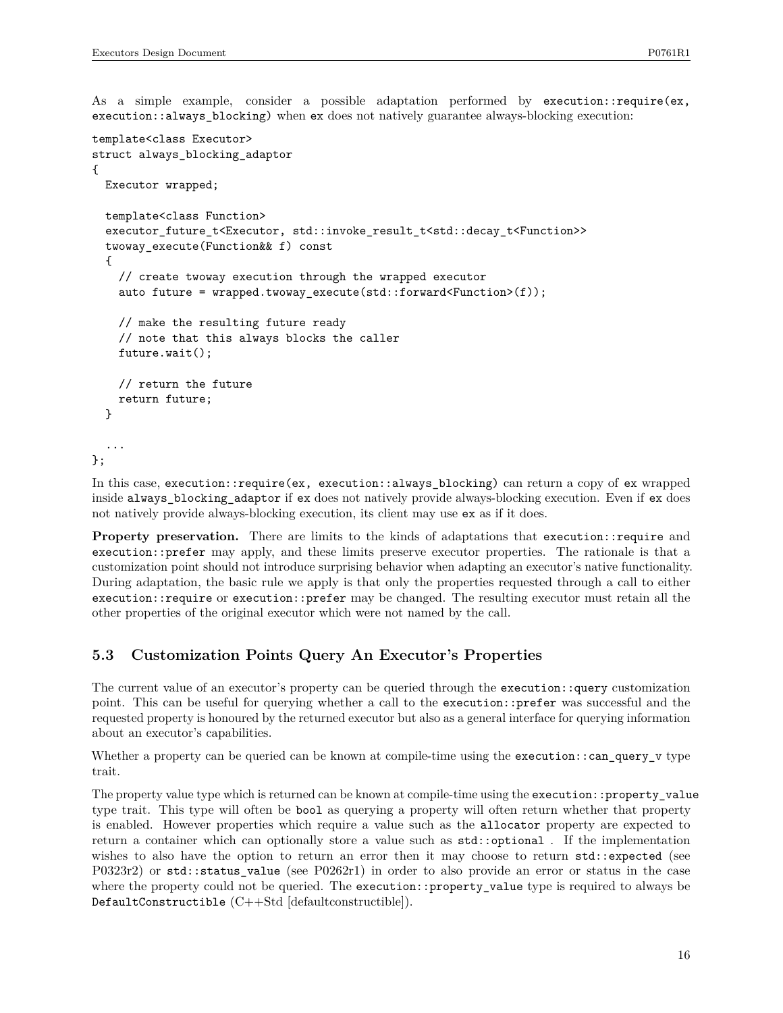As a simple example, consider a possible adaptation performed by execution::require(ex, execution::always\_blocking) when ex does not natively guarantee always-blocking execution:

```
template<class Executor>
struct always_blocking_adaptor
{
  Executor wrapped;
  template<class Function>
  executor_future_t<Executor, std::invoke_result_t<std::decay_t<Function>>
  twoway_execute(Function&& f) const
  {
   // create twoway execution through the wrapped executor
   auto future = wrapped.twoway_execute(std::forward<Function>(f));
   // make the resulting future ready
   // note that this always blocks the caller
   future.wait();
    // return the future
   return future;
  }
  ...
};
```
In this case, execution::require(ex, execution::always\_blocking) can return a copy of ex wrapped inside always\_blocking\_adaptor if ex does not natively provide always-blocking execution. Even if ex does not natively provide always-blocking execution, its client may use ex as if it does.

**Property preservation.** There are limits to the kinds of adaptations that execution::require and execution::prefer may apply, and these limits preserve executor properties. The rationale is that a customization point should not introduce surprising behavior when adapting an executor's native functionality. During adaptation, the basic rule we apply is that only the properties requested through a call to either execution::require or execution::prefer may be changed. The resulting executor must retain all the other properties of the original executor which were not named by the call.

## **5.3 Customization Points Query An Executor's Properties**

The current value of an executor's property can be queried through the execution::query customization point. This can be useful for querying whether a call to the execution::prefer was successful and the requested property is honoured by the returned executor but also as a general interface for querying information about an executor's capabilities.

Whether a property can be queried can be known at compile-time using the execution::can\_query\_v type trait.

The property value type which is returned can be known at compile-time using the execution::property\_value type trait. This type will often be bool as querying a property will often return whether that property is enabled. However properties which require a value such as the allocator property are expected to return a container which can optionally store a value such as  $\text{std}$ ::optional. If the implementation wishes to also have the option to return an error then it may choose to return std::expected (see P0323r2) or std::status\_value (see P0262r1) in order to also provide an error or status in the case where the property could not be queried. The execution::property\_value type is required to always be DefaultConstructible (C++Std [defaultconstructible]).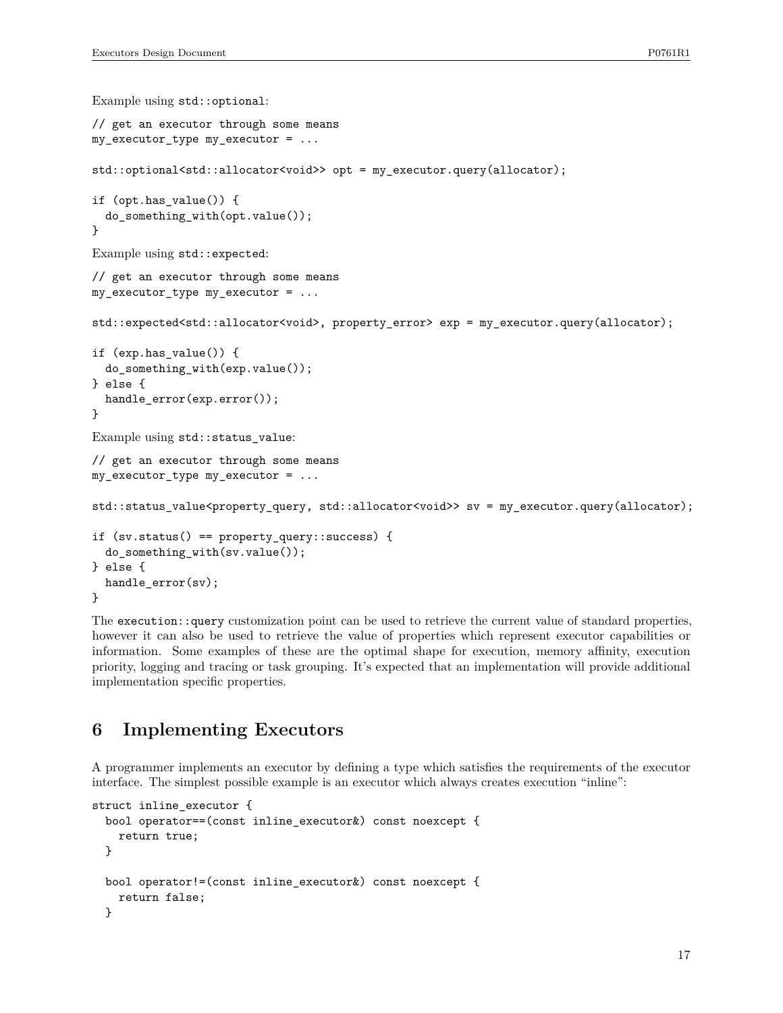```
Example using std::optional:
// get an executor through some means
my_executor_type my_executor = ...
std::optional<std::allocator<void>> opt = my_executor.query(allocator);
if (opt.has_value()) {
  do_something_with(opt.value());
}
Example using std::expected:
// get an executor through some means
my_executor_type my_executor = ...
std::expected<std::allocator<void>, property_error> exp = my_executor.query(allocator);
if (exp.has_value()) {
 do_something_with(exp.value());
} else {
  handle_error(exp.error());
}
Example using std::status_value:
// get an executor through some means
my_executor_type my_executor = ...
std::status_value<property_query, std::allocator<void>> sv = my_executor.query(allocator);
if (sv.status() == property_query::success) {
  do_something_with(sv.value());
} else {
 handle_error(sv);
}
```
The execution::query customization point can be used to retrieve the current value of standard properties, however it can also be used to retrieve the value of properties which represent executor capabilities or information. Some examples of these are the optimal shape for execution, memory affinity, execution priority, logging and tracing or task grouping. It's expected that an implementation will provide additional implementation specific properties.

## **6 Implementing Executors**

A programmer implements an executor by defining a type which satisfies the requirements of the executor interface. The simplest possible example is an executor which always creates execution "inline":

```
struct inline_executor {
  bool operator==(const inline_executor&) const noexcept {
    return true;
  }
  bool operator!=(const inline_executor&) const noexcept {
   return false;
  }
```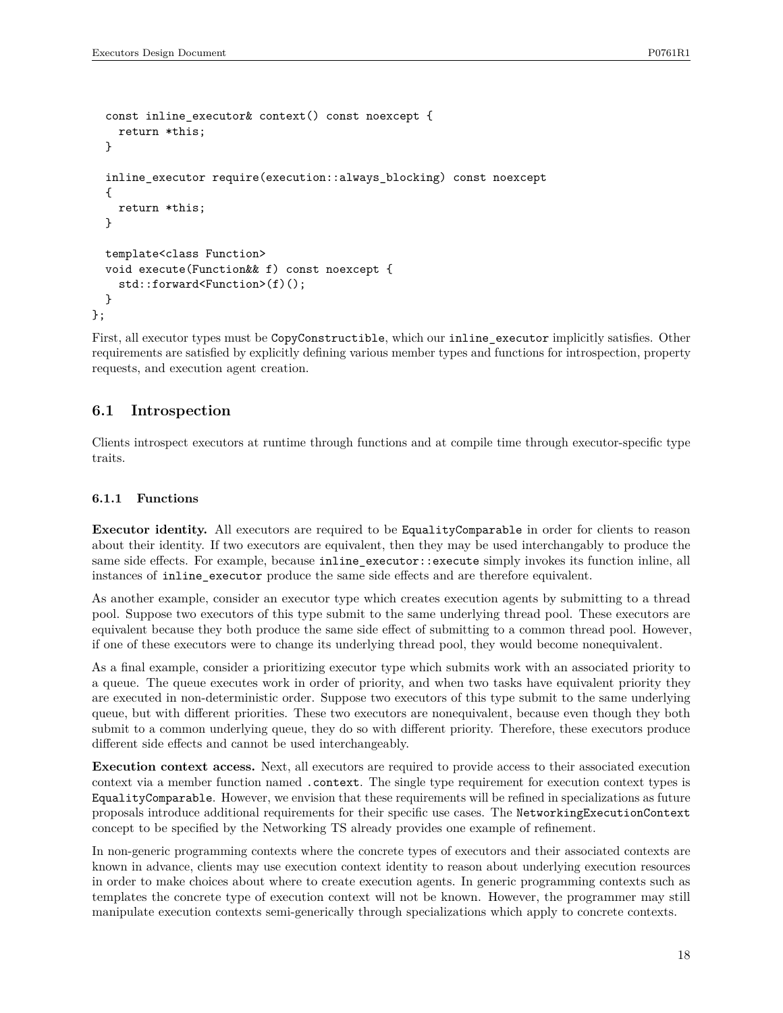```
const inline_executor& context() const noexcept {
    return *this;
  }
  inline_executor require(execution::always_blocking) const noexcept
  {
    return *this;
  }
  template<class Function>
  void execute(Function&& f) const noexcept {
    std::forward<Function>(f)();
  }
};
```
First, all executor types must be CopyConstructible, which our inline\_executor implicitly satisfies. Other requirements are satisfied by explicitly defining various member types and functions for introspection, property requests, and execution agent creation.

## **6.1 Introspection**

Clients introspect executors at runtime through functions and at compile time through executor-specific type traits.

#### **6.1.1 Functions**

**Executor identity.** All executors are required to be EqualityComparable in order for clients to reason about their identity. If two executors are equivalent, then they may be used interchangably to produce the same side effects. For example, because inline\_executor::execute simply invokes its function inline, all instances of inline\_executor produce the same side effects and are therefore equivalent.

As another example, consider an executor type which creates execution agents by submitting to a thread pool. Suppose two executors of this type submit to the same underlying thread pool. These executors are equivalent because they both produce the same side effect of submitting to a common thread pool. However, if one of these executors were to change its underlying thread pool, they would become nonequivalent.

As a final example, consider a prioritizing executor type which submits work with an associated priority to a queue. The queue executes work in order of priority, and when two tasks have equivalent priority they are executed in non-deterministic order. Suppose two executors of this type submit to the same underlying queue, but with different priorities. These two executors are nonequivalent, because even though they both submit to a common underlying queue, they do so with different priority. Therefore, these executors produce different side effects and cannot be used interchangeably.

**Execution context access.** Next, all executors are required to provide access to their associated execution context via a member function named .context. The single type requirement for execution context types is EqualityComparable. However, we envision that these requirements will be refined in specializations as future proposals introduce additional requirements for their specific use cases. The NetworkingExecutionContext concept to be specified by the Networking TS already provides one example of refinement.

In non-generic programming contexts where the concrete types of executors and their associated contexts are known in advance, clients may use execution context identity to reason about underlying execution resources in order to make choices about where to create execution agents. In generic programming contexts such as templates the concrete type of execution context will not be known. However, the programmer may still manipulate execution contexts semi-generically through specializations which apply to concrete contexts.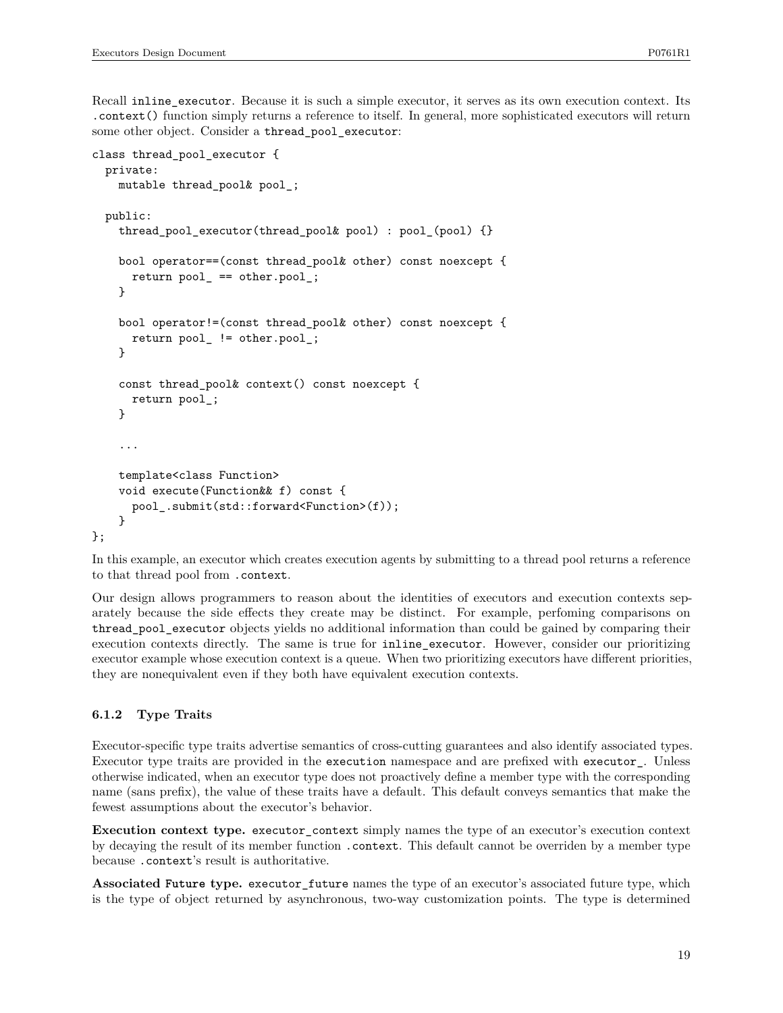Recall inline executor. Because it is such a simple executor, it serves as its own execution context. Its .context() function simply returns a reference to itself. In general, more sophisticated executors will return some other object. Consider a thread pool executor:

```
class thread_pool_executor {
  private:
   mutable thread pool& pool ;
  public:
   thread_pool_executor(thread_pool& pool) : pool_(pool) {}
   bool operator==(const thread_pool& other) const noexcept {
      return pool_ == other.pool_;
   }
   bool operator!=(const thread_pool& other) const noexcept {
      return pool_ != other.pool_;
   }
   const thread_pool& context() const noexcept {
      return pool_;
   }
    ...
   template<class Function>
   void execute(Function&& f) const {
      pool_.submit(std::forward<Function>(f));
   }
};
```
In this example, an executor which creates execution agents by submitting to a thread pool returns a reference to that thread pool from .context.

Our design allows programmers to reason about the identities of executors and execution contexts separately because the side effects they create may be distinct. For example, perfoming comparisons on thread\_pool\_executor objects yields no additional information than could be gained by comparing their execution contexts directly. The same is true for inline\_executor. However, consider our prioritizing executor example whose execution context is a queue. When two prioritizing executors have different priorities, they are nonequivalent even if they both have equivalent execution contexts.

### **6.1.2 Type Traits**

Executor-specific type traits advertise semantics of cross-cutting guarantees and also identify associated types. Executor type traits are provided in the execution namespace and are prefixed with executor\_. Unless otherwise indicated, when an executor type does not proactively define a member type with the corresponding name (sans prefix), the value of these traits have a default. This default conveys semantics that make the fewest assumptions about the executor's behavior.

**Execution context type.** executor\_context simply names the type of an executor's execution context by decaying the result of its member function .context. This default cannot be overriden by a member type because .context's result is authoritative.

**Associated Future type.** executor\_future names the type of an executor's associated future type, which is the type of object returned by asynchronous, two-way customization points. The type is determined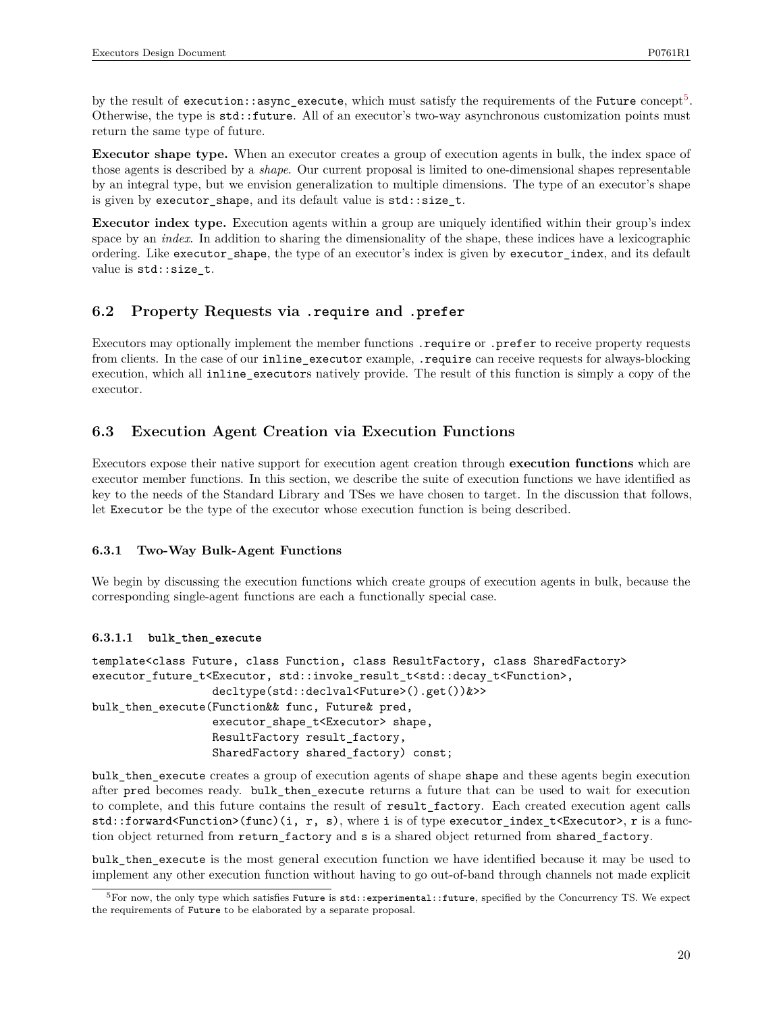by the result of execution::async\_execute, which must satisfy the requirements of the Future concept $^5\!$  $^5\!$  $^5\!$ . Otherwise, the type is  $std::future.$  All of an executor's two-way asynchronous customization points must return the same type of future.

**Executor shape type.** When an executor creates a group of execution agents in bulk, the index space of those agents is described by a *shape*. Our current proposal is limited to one-dimensional shapes representable by an integral type, but we envision generalization to multiple dimensions. The type of an executor's shape is given by executor\_shape, and its default value is std::size\_t.

**Executor index type.** Execution agents within a group are uniquely identified within their group's index space by an *index*. In addition to sharing the dimensionality of the shape, these indices have a lexicographic ordering. Like executor\_shape, the type of an executor's index is given by executor\_index, and its default value is std::size\_t.

## **6.2 Property Requests via .require and .prefer**

Executors may optionally implement the member functions .require or .prefer to receive property requests from clients. In the case of our inline\_executor example, .require can receive requests for always-blocking execution, which all inline\_executors natively provide. The result of this function is simply a copy of the executor.

## **6.3 Execution Agent Creation via Execution Functions**

Executors expose their native support for execution agent creation through **execution functions** which are executor member functions. In this section, we describe the suite of execution functions we have identified as key to the needs of the Standard Library and TSes we have chosen to target. In the discussion that follows, let Executor be the type of the executor whose execution function is being described.

### **6.3.1 Two-Way Bulk-Agent Functions**

We begin by discussing the execution functions which create groups of execution agents in bulk, because the corresponding single-agent functions are each a functionally special case.

### **6.3.1.1 bulk\_then\_execute**

```
template<class Future, class Function, class ResultFactory, class SharedFactory>
executor_future_t<Executor, std::invoke_result_t<std::decay_t<Function>,
                  decltype(std::declval<Future>().get())&>>
bulk_then_execute(Function&& func, Future& pred,
                  executor_shape_t<Executor> shape,
                  ResultFactory result_factory,
                  SharedFactory shared_factory) const;
```
bulk\_then\_execute creates a group of execution agents of shape shape and these agents begin execution after pred becomes ready. bulk\_then\_execute returns a future that can be used to wait for execution to complete, and this future contains the result of result factory. Each created execution agent calls std::forward<Function>(func)(i, r, s), where i is of type executor\_index\_t<Executor>, r is a function object returned from return\_factory and s is a shared object returned from shared\_factory.

bulk\_then\_execute is the most general execution function we have identified because it may be used to implement any other execution function without having to go out-of-band through channels not made explicit

<span id="page-19-0"></span> $5$  For now, the only type which satisfies Future is  $std:$ : experimental:: future, specified by the Concurrency TS. We expect the requirements of Future to be elaborated by a separate proposal.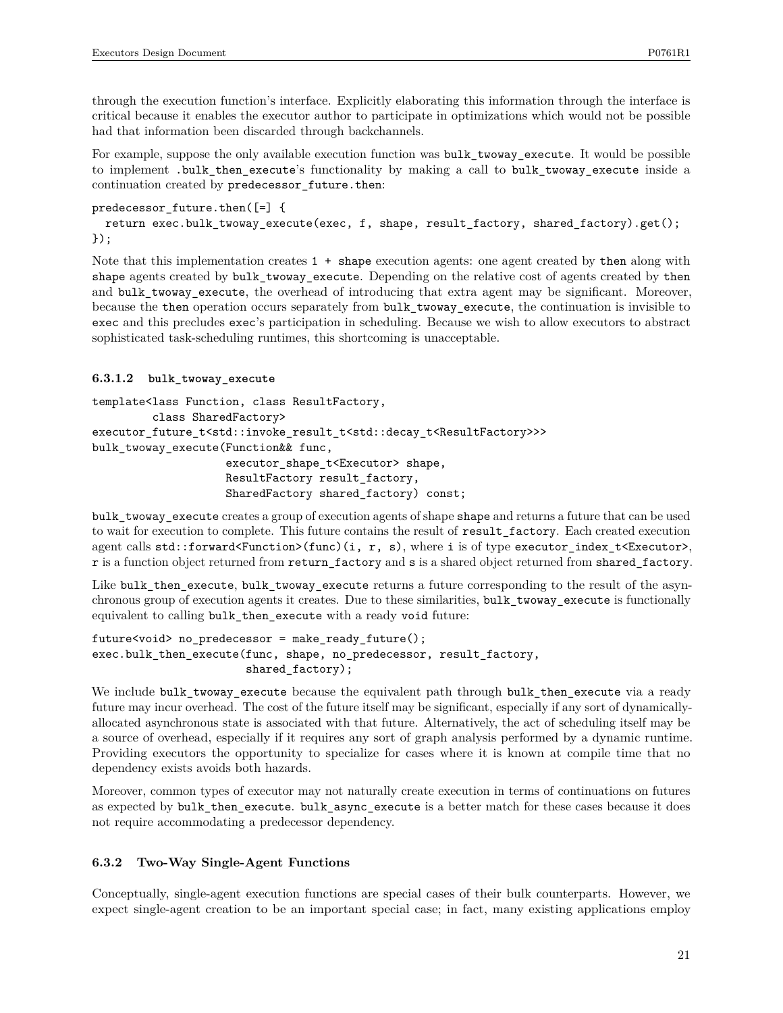through the execution function's interface. Explicitly elaborating this information through the interface is critical because it enables the executor author to participate in optimizations which would not be possible had that information been discarded through backchannels.

For example, suppose the only available execution function was bulk\_twoway\_execute. It would be possible to implement .bulk\_then\_execute's functionality by making a call to bulk\_twoway\_execute inside a continuation created by predecessor future.then:

```
predecessor future.then([-] {
  return exec.bulk_twoway_execute(exec, f, shape, result_factory, shared_factory).get();
});
```
Note that this implementation creates  $1 + shape$  execution agents: one agent created by then along with shape agents created by bulk\_twoway\_execute. Depending on the relative cost of agents created by then and bulk\_twoway\_execute, the overhead of introducing that extra agent may be significant. Moreover, because the then operation occurs separately from bulk\_twoway\_execute, the continuation is invisible to exec and this precludes exec's participation in scheduling. Because we wish to allow executors to abstract sophisticated task-scheduling runtimes, this shortcoming is unacceptable.

### **6.3.1.2 bulk\_twoway\_execute**

```
template<lass Function, class ResultFactory,
         class SharedFactory>
executor_future_t<std::invoke_result_t<std::decay_t<ResultFactory>>>
bulk_twoway_execute(Function&& func,
                    executor_shape_t<Executor> shape,
                    ResultFactory result_factory,
                    SharedFactory shared_factory) const;
```
bulk twoway execute creates a group of execution agents of shape shape and returns a future that can be used to wait for execution to complete. This future contains the result of result\_factory. Each created execution agent calls  $std::forward\&Function>(inc)(i, r, s)$ , where i is of type executor index  $t,$ r is a function object returned from return\_factory and s is a shared object returned from shared\_factory.

Like bulk\_then\_execute, bulk\_twoway\_execute returns a future corresponding to the result of the asynchronous group of execution agents it creates. Due to these similarities, bulk\_twoway\_execute is functionally equivalent to calling bulk\_then\_execute with a ready void future:

```
future<void> no_predecessor = make_ready_future();
exec.bulk_then_execute(func, shape, no_predecessor, result_factory,
                       shared_factory);
```
We include bulk\_twoway\_execute because the equivalent path through bulk\_then\_execute via a ready future may incur overhead. The cost of the future itself may be significant, especially if any sort of dynamicallyallocated asynchronous state is associated with that future. Alternatively, the act of scheduling itself may be a source of overhead, especially if it requires any sort of graph analysis performed by a dynamic runtime. Providing executors the opportunity to specialize for cases where it is known at compile time that no dependency exists avoids both hazards.

Moreover, common types of executor may not naturally create execution in terms of continuations on futures as expected by bulk then execute. bulk async execute is a better match for these cases because it does not require accommodating a predecessor dependency.

## **6.3.2 Two-Way Single-Agent Functions**

Conceptually, single-agent execution functions are special cases of their bulk counterparts. However, we expect single-agent creation to be an important special case; in fact, many existing applications employ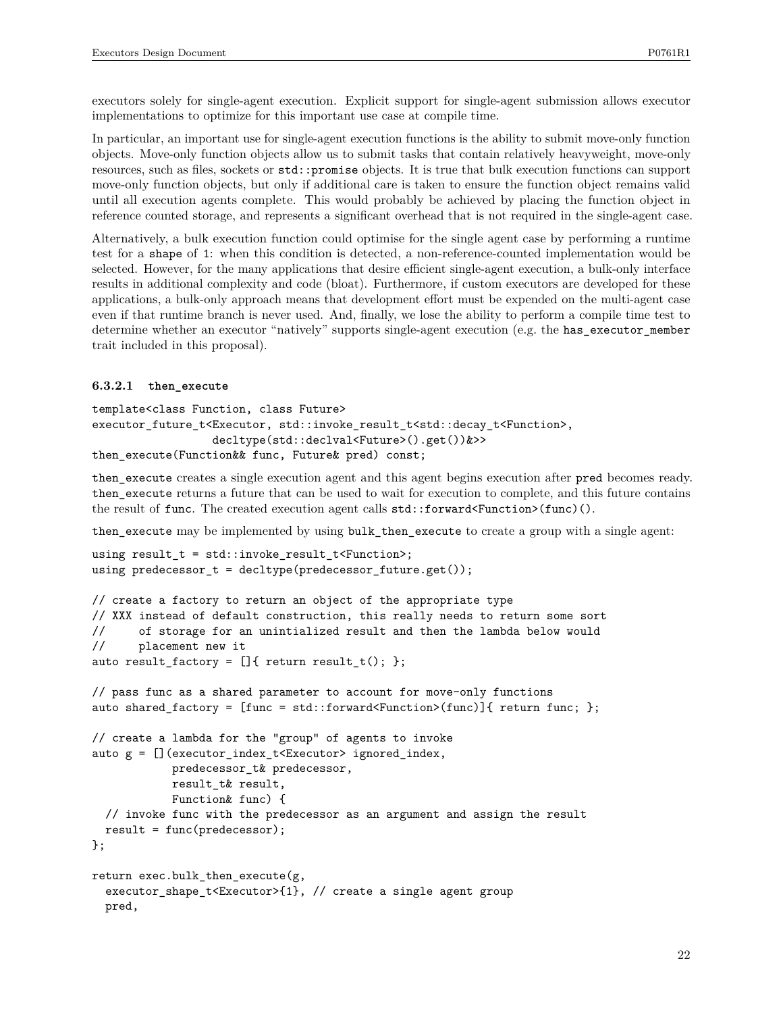executors solely for single-agent execution. Explicit support for single-agent submission allows executor implementations to optimize for this important use case at compile time.

In particular, an important use for single-agent execution functions is the ability to submit move-only function objects. Move-only function objects allow us to submit tasks that contain relatively heavyweight, move-only resources, such as files, sockets or std::promise objects. It is true that bulk execution functions can support move-only function objects, but only if additional care is taken to ensure the function object remains valid until all execution agents complete. This would probably be achieved by placing the function object in reference counted storage, and represents a significant overhead that is not required in the single-agent case.

Alternatively, a bulk execution function could optimise for the single agent case by performing a runtime test for a shape of 1: when this condition is detected, a non-reference-counted implementation would be selected. However, for the many applications that desire efficient single-agent execution, a bulk-only interface results in additional complexity and code (bloat). Furthermore, if custom executors are developed for these applications, a bulk-only approach means that development effort must be expended on the multi-agent case even if that runtime branch is never used. And, finally, we lose the ability to perform a compile time test to determine whether an executor "natively" supports single-agent execution (e.g. the has\_executor\_member trait included in this proposal).

#### **6.3.2.1 then\_execute**

pred,

```
template<class Function, class Future>
executor_future_t<Executor, std::invoke_result_t<std::decay_t<Function>,
                  decltype(std::declval<Future>().get())&>>
then_execute(Function&& func, Future& pred) const;
```
then\_execute creates a single execution agent and this agent begins execution after pred becomes ready. then\_execute returns a future that can be used to wait for execution to complete, and this future contains the result of func. The created execution agent calls std::forward<Function>(func)().

then\_execute may be implemented by using bulk\_then\_execute to create a group with a single agent:

```
using result_t = std::invoke_result_t<Function>;
using predecessor_t = decltype(predecessor_future.get());
```

```
// create a factory to return an object of the appropriate type
// XXX instead of default construction, this really needs to return some sort
// of storage for an unintialized result and then the lambda below would
// placement new it
auto result_factory = []{ return result_t(); };
```

```
// pass func as a shared parameter to account for move-only functions
auto shared_factory = [func = std::forward\n  <i>Function</i>>(func)] { return func; };// create a lambda for the "group" of agents to invoke
auto g = [] (executor_index_t<Executor> ignored_index,
            predecessor_t& predecessor,
            result_t& result,
            Function& func) {
  // invoke func with the predecessor as an argument and assign the result
  result = func(predecessor);
};
return exec.bulk_then_execute(g,
  executor_shape_t<Executor>{1}, // create a single agent group
```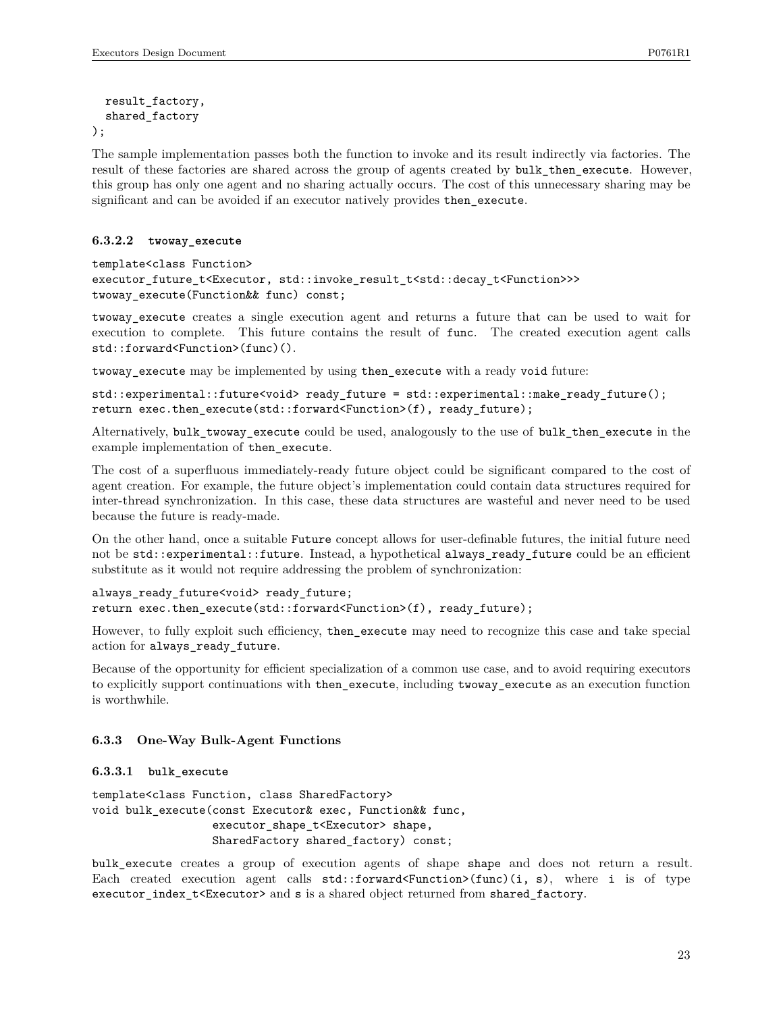```
result_factory,
  shared_factory
);
```
The sample implementation passes both the function to invoke and its result indirectly via factories. The result of these factories are shared across the group of agents created by bulk\_then\_execute. However, this group has only one agent and no sharing actually occurs. The cost of this unnecessary sharing may be significant and can be avoided if an executor natively provides then\_execute.

#### **6.3.2.2 twoway\_execute**

```
template<class Function>
executor_future_t<Executor, std::invoke_result_t<std::decay_t<Function>>>
twoway_execute(Function&& func) const;
```
twoway\_execute creates a single execution agent and returns a future that can be used to wait for execution to complete. This future contains the result of func. The created execution agent calls std::forward<Function>(func)().

twoway execute may be implemented by using then execute with a ready void future:

std::experimental::future<void> ready\_future = std::experimental::make\_ready\_future(); return exec.then\_execute(std::forward<Function>(f), ready\_future);

Alternatively, bulk\_twoway\_execute could be used, analogously to the use of bulk\_then\_execute in the example implementation of then\_execute.

The cost of a superfluous immediately-ready future object could be significant compared to the cost of agent creation. For example, the future object's implementation could contain data structures required for inter-thread synchronization. In this case, these data structures are wasteful and never need to be used because the future is ready-made.

On the other hand, once a suitable Future concept allows for user-definable futures, the initial future need not be std::experimental::future. Instead, a hypothetical always\_ready\_future could be an efficient substitute as it would not require addressing the problem of synchronization:

```
always ready future<void> ready future;
return exec.then execute(std::forward<Function>(f), ready future);
```
However, to fully exploit such efficiency, then\_execute may need to recognize this case and take special action for always\_ready\_future.

Because of the opportunity for efficient specialization of a common use case, and to avoid requiring executors to explicitly support continuations with then\_execute, including twoway\_execute as an execution function is worthwhile.

#### **6.3.3 One-Way Bulk-Agent Functions**

#### **6.3.3.1 bulk\_execute**

```
template<class Function, class SharedFactory>
void bulk_execute(const Executor& exec, Function&& func,
                  executor_shape_t<Executor> shape,
                  SharedFactory shared_factory) const;
```
bulk\_execute creates a group of execution agents of shape shape and does not return a result. Each created execution agent calls std::forward<Function>(func)(i, s), where i is of type executor\_index\_t<Executor> and s is a shared object returned from shared\_factory.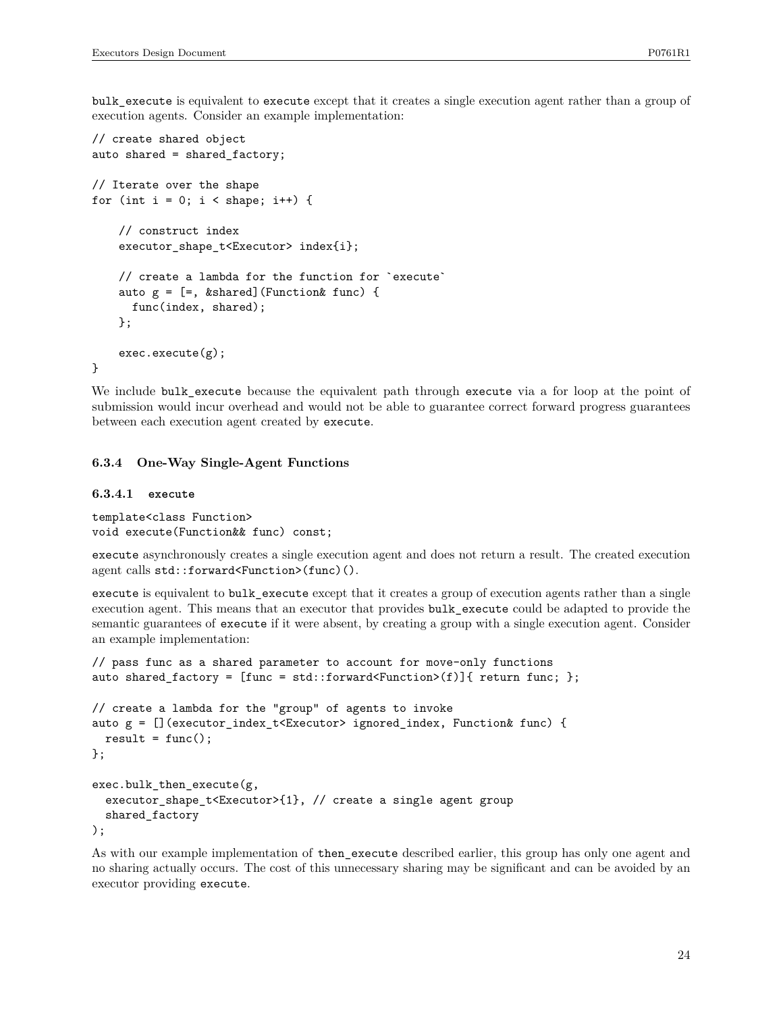bulk execute is equivalent to execute except that it creates a single execution agent rather than a group of execution agents. Consider an example implementation:

```
// create shared object
auto shared = shared_factory;
// Iterate over the shape
for (int i = 0; i < shape; i++) {
    // construct index
    executor_shape_t<Executor> index{i};
    // create a lambda for the function for `execute`
    auto g = [-, %shared] (Function % f = f func) {
      func(index, shared);
    };
    exec.execute(g);
}
```
We include bulk execute because the equivalent path through execute via a for loop at the point of submission would incur overhead and would not be able to guarantee correct forward progress guarantees between each execution agent created by execute.

#### **6.3.4 One-Way Single-Agent Functions**

#### **6.3.4.1 execute**

template<class Function> void execute(Function&& func) const;

execute asynchronously creates a single execution agent and does not return a result. The created execution agent calls std::forward<Function>(func)().

execute is equivalent to bulk\_execute except that it creates a group of execution agents rather than a single execution agent. This means that an executor that provides bulk\_execute could be adapted to provide the semantic guarantees of execute if it were absent, by creating a group with a single execution agent. Consider an example implementation:

```
// pass func as a shared parameter to account for move-only functions
auto shared_factory = [func = std::forward\&Function>(f)]{ return func; };
// create a lambda for the "group" of agents to invoke
auto g = [](executor_index_t<Executor> ignored_index, Function& func) {
  result = func();
};
exec.bulk_then_execute(g,
  executor_shape_t<Executor>{1}, // create a single agent group
  shared_factory
);
```
As with our example implementation of then\_execute described earlier, this group has only one agent and no sharing actually occurs. The cost of this unnecessary sharing may be significant and can be avoided by an executor providing execute.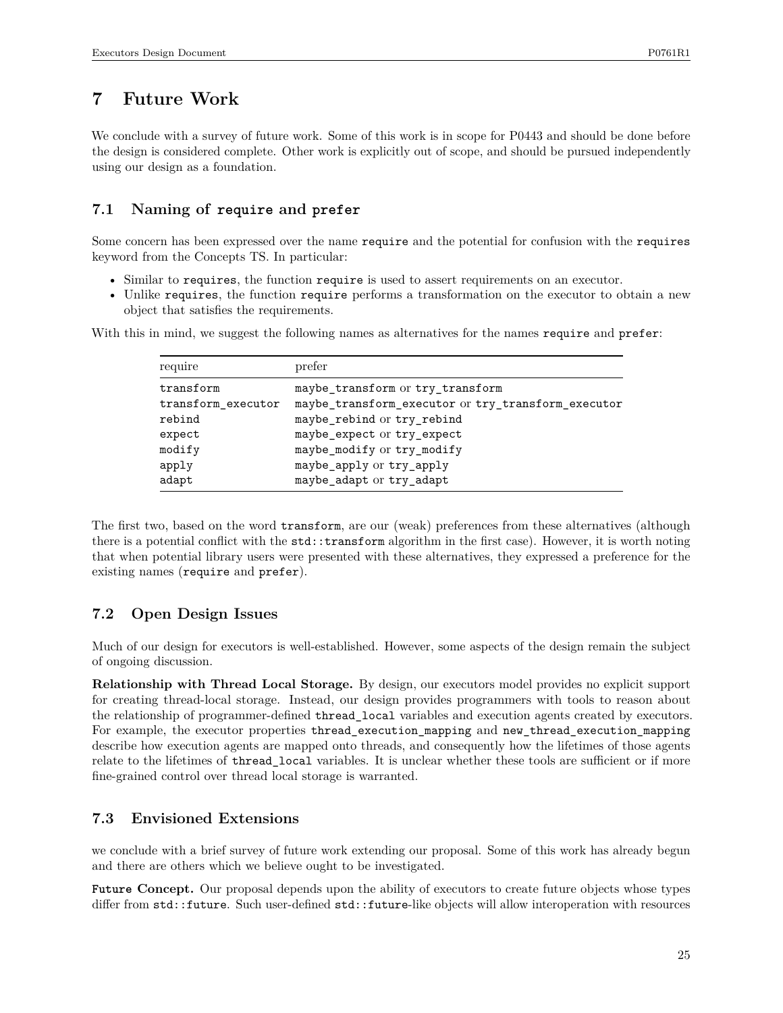# **7 Future Work**

We conclude with a survey of future work. Some of this work is in scope for P0443 and should be done before the design is considered complete. Other work is explicitly out of scope, and should be pursued independently using our design as a foundation.

## **7.1 Naming of require and prefer**

Some concern has been expressed over the name require and the potential for confusion with the requires keyword from the Concepts TS. In particular:

- Similar to requires, the function require is used to assert requirements on an executor.
- Unlike requires, the function require performs a transformation on the executor to obtain a new object that satisfies the requirements.

| require            | prefer                                             |
|--------------------|----------------------------------------------------|
| transform          | maybe_transform or try_transform                   |
| transform executor | maybe_transform_executor or try_transform_executor |
| rebind             | maybe_rebind or try_rebind                         |
| expect             | maybe_expect or try_expect                         |
| modify             | maybe_modify or try_modify                         |
| apply              | maybe_apply or try_apply                           |
| adapt              | maybe_adapt or try_adapt                           |

With this in mind, we suggest the following names as alternatives for the names require and prefer:

The first two, based on the word transform, are our (weak) preferences from these alternatives (although there is a potential conflict with the std::transform algorithm in the first case). However, it is worth noting that when potential library users were presented with these alternatives, they expressed a preference for the existing names (require and prefer).

## **7.2 Open Design Issues**

Much of our design for executors is well-established. However, some aspects of the design remain the subject of ongoing discussion.

**Relationship with Thread Local Storage.** By design, our executors model provides no explicit support for creating thread-local storage. Instead, our design provides programmers with tools to reason about the relationship of programmer-defined thread\_local variables and execution agents created by executors. For example, the executor properties thread\_execution\_mapping and new\_thread\_execution\_mapping describe how execution agents are mapped onto threads, and consequently how the lifetimes of those agents relate to the lifetimes of thread\_local variables. It is unclear whether these tools are sufficient or if more fine-grained control over thread local storage is warranted.

## **7.3 Envisioned Extensions**

we conclude with a brief survey of future work extending our proposal. Some of this work has already begun and there are others which we believe ought to be investigated.

**Future Concept.** Our proposal depends upon the ability of executors to create future objects whose types differ from  $std$ ::future. Such user-defined  $std$ ::future-like objects will allow interoperation with resources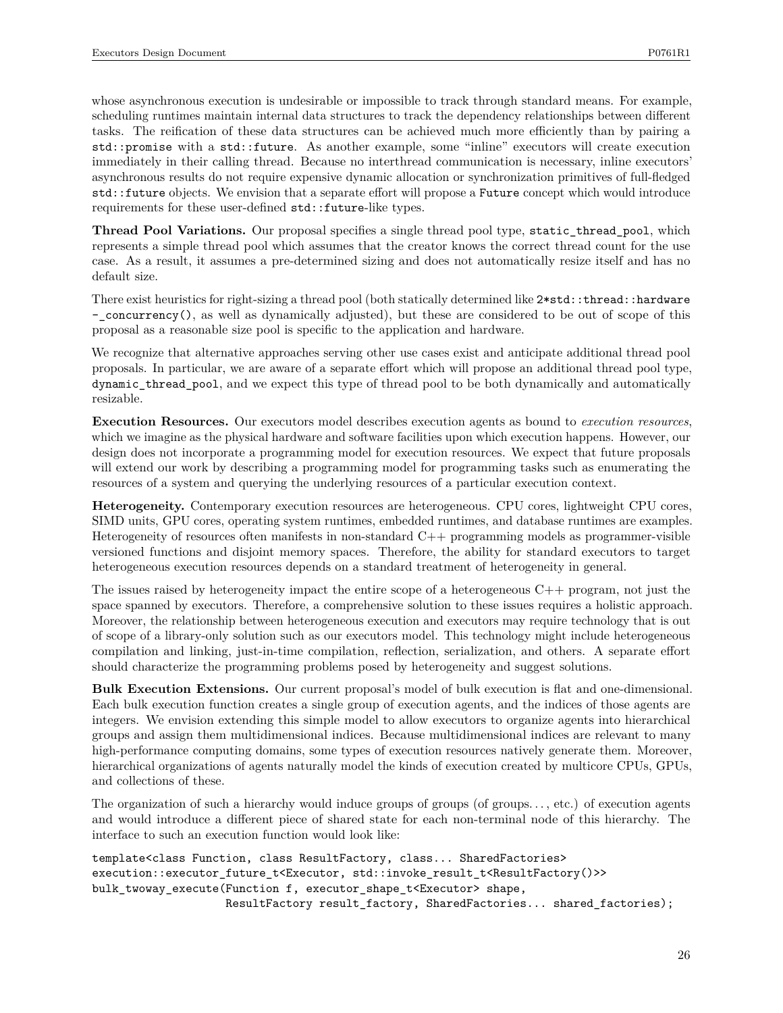whose asynchronous execution is undesirable or impossible to track through standard means. For example, scheduling runtimes maintain internal data structures to track the dependency relationships between different tasks. The reification of these data structures can be achieved much more efficiently than by pairing a std::promise with a std::future. As another example, some "inline" executors will create execution immediately in their calling thread. Because no interthread communication is necessary, inline executors' asynchronous results do not require expensive dynamic allocation or synchronization primitives of full-fledged std::future objects. We envision that a separate effort will propose a Future concept which would introduce requirements for these user-defined  $std::future-like types.$ 

**Thread Pool Variations.** Our proposal specifies a single thread pool type, static\_thread\_pool, which represents a simple thread pool which assumes that the creator knows the correct thread count for the use case. As a result, it assumes a pre-determined sizing and does not automatically resize itself and has no default size.

There exist heuristics for right-sizing a thread pool (both statically determined like 2\*std::thread::hardware -\_concurrency(), as well as dynamically adjusted), but these are considered to be out of scope of this proposal as a reasonable size pool is specific to the application and hardware.

We recognize that alternative approaches serving other use cases exist and anticipate additional thread pool proposals. In particular, we are aware of a separate effort which will propose an additional thread pool type, dynamic\_thread\_pool, and we expect this type of thread pool to be both dynamically and automatically resizable.

**Execution Resources.** Our executors model describes execution agents as bound to *execution resources*, which we imagine as the physical hardware and software facilities upon which execution happens. However, our design does not incorporate a programming model for execution resources. We expect that future proposals will extend our work by describing a programming model for programming tasks such as enumerating the resources of a system and querying the underlying resources of a particular execution context.

**Heterogeneity.** Contemporary execution resources are heterogeneous. CPU cores, lightweight CPU cores, SIMD units, GPU cores, operating system runtimes, embedded runtimes, and database runtimes are examples. Heterogeneity of resources often manifests in non-standard C++ programming models as programmer-visible versioned functions and disjoint memory spaces. Therefore, the ability for standard executors to target heterogeneous execution resources depends on a standard treatment of heterogeneity in general.

The issues raised by heterogeneity impact the entire scope of a heterogeneous C++ program, not just the space spanned by executors. Therefore, a comprehensive solution to these issues requires a holistic approach. Moreover, the relationship between heterogeneous execution and executors may require technology that is out of scope of a library-only solution such as our executors model. This technology might include heterogeneous compilation and linking, just-in-time compilation, reflection, serialization, and others. A separate effort should characterize the programming problems posed by heterogeneity and suggest solutions.

**Bulk Execution Extensions.** Our current proposal's model of bulk execution is flat and one-dimensional. Each bulk execution function creates a single group of execution agents, and the indices of those agents are integers. We envision extending this simple model to allow executors to organize agents into hierarchical groups and assign them multidimensional indices. Because multidimensional indices are relevant to many high-performance computing domains, some types of execution resources natively generate them. Moreover, hierarchical organizations of agents naturally model the kinds of execution created by multicore CPUs, GPUs, and collections of these.

The organization of such a hierarchy would induce groups of groups (of groups..., etc.) of execution agents and would introduce a different piece of shared state for each non-terminal node of this hierarchy. The interface to such an execution function would look like:

```
template<class Function, class ResultFactory, class... SharedFactories>
execution::executor_future_t<Executor, std::invoke_result_t<ResultFactory()>>
bulk_twoway_execute(Function f, executor_shape_t<Executor> shape,
                    ResultFactory result_factory, SharedFactories... shared_factories);
```